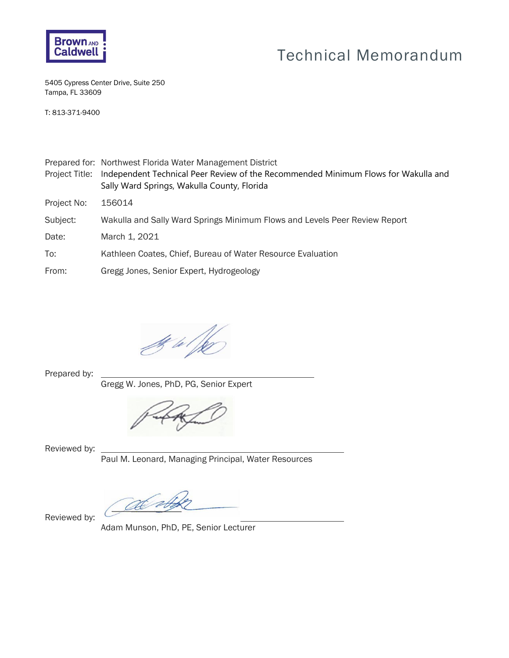

# Technical Memorandum

5405 Cypress Center Drive, Suite 250 Tampa, FL 33609

T: 813-371-9400

|             | Prepared for: Northwest Florida Water Management District<br>Project Title: Independent Technical Peer Review of the Recommended Minimum Flows for Wakulla and<br>Sally Ward Springs, Wakulla County, Florida |  |
|-------------|---------------------------------------------------------------------------------------------------------------------------------------------------------------------------------------------------------------|--|
| Project No: | 156014                                                                                                                                                                                                        |  |
| Subject:    | Wakulla and Sally Ward Springs Minimum Flows and Levels Peer Review Report                                                                                                                                    |  |
| Date:       | March 1, 2021                                                                                                                                                                                                 |  |
| To:         | Kathleen Coates, Chief, Bureau of Water Resource Evaluation                                                                                                                                                   |  |
| From:       | Gregg Jones, Senior Expert, Hydrogeology                                                                                                                                                                      |  |

 $k$ 

Prepared by:

Gregg W. Jones, PhD, PG, Senior Expert

Reviewed by:

Reviewed by:

Paul M. Leonard, Managing Principal, Water Resources

at obse

Adam Munson, PhD, PE, Senior Lecturer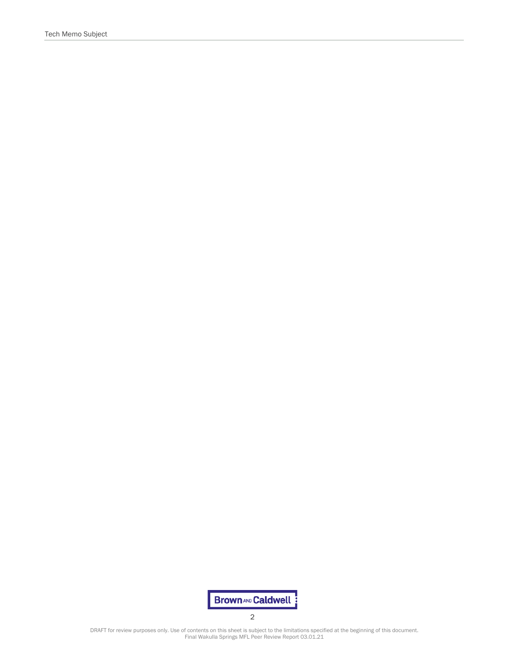

DRAFT for review purposes only. Use of contents on this sheet is subject to the limitations specified at the beginning of this document. Final Wakulla Springs MFL Peer Review Report 03.01.21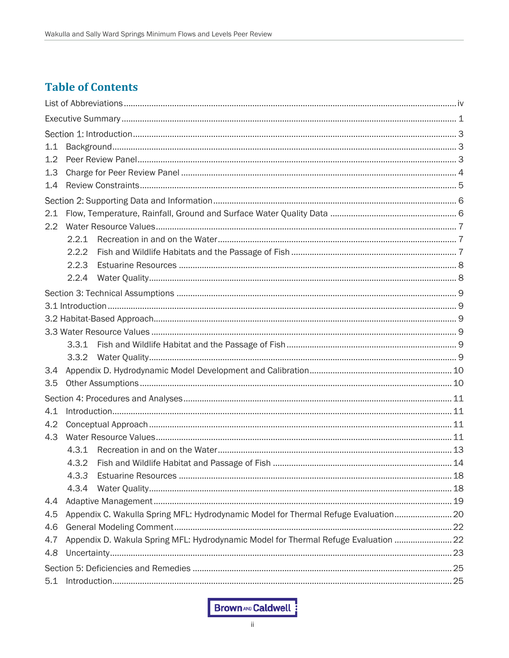### **Table of Contents**

| 1.1           |                                                                                     |  |  |  |  |
|---------------|-------------------------------------------------------------------------------------|--|--|--|--|
| 1.2           |                                                                                     |  |  |  |  |
| 1.3           |                                                                                     |  |  |  |  |
| 1.4           |                                                                                     |  |  |  |  |
|               |                                                                                     |  |  |  |  |
| 2.1           |                                                                                     |  |  |  |  |
| $2.2^{\circ}$ |                                                                                     |  |  |  |  |
|               | 2.2.1                                                                               |  |  |  |  |
|               | 2.2.2                                                                               |  |  |  |  |
|               | 2.2.3                                                                               |  |  |  |  |
|               | 2.2.4                                                                               |  |  |  |  |
|               |                                                                                     |  |  |  |  |
|               |                                                                                     |  |  |  |  |
|               |                                                                                     |  |  |  |  |
|               |                                                                                     |  |  |  |  |
|               |                                                                                     |  |  |  |  |
|               | 3.3.2                                                                               |  |  |  |  |
| 3.4           |                                                                                     |  |  |  |  |
| 3.5           |                                                                                     |  |  |  |  |
|               |                                                                                     |  |  |  |  |
| 4.1           |                                                                                     |  |  |  |  |
| 4.2           |                                                                                     |  |  |  |  |
| 4.3           |                                                                                     |  |  |  |  |
|               | 4.3.1                                                                               |  |  |  |  |
|               | 4.3.2                                                                               |  |  |  |  |
|               | 4.3.3                                                                               |  |  |  |  |
|               | 4.3.4                                                                               |  |  |  |  |
| 4.4           |                                                                                     |  |  |  |  |
| 4.5           | Appendix C. Wakulla Spring MFL: Hydrodynamic Model for Thermal Refuge Evaluation 20 |  |  |  |  |
| 4.6           |                                                                                     |  |  |  |  |
| 4.7           | Appendix D. Wakula Spring MFL: Hydrodynamic Model for Thermal Refuge Evaluation 22  |  |  |  |  |
| 4.8           |                                                                                     |  |  |  |  |
|               |                                                                                     |  |  |  |  |
|               |                                                                                     |  |  |  |  |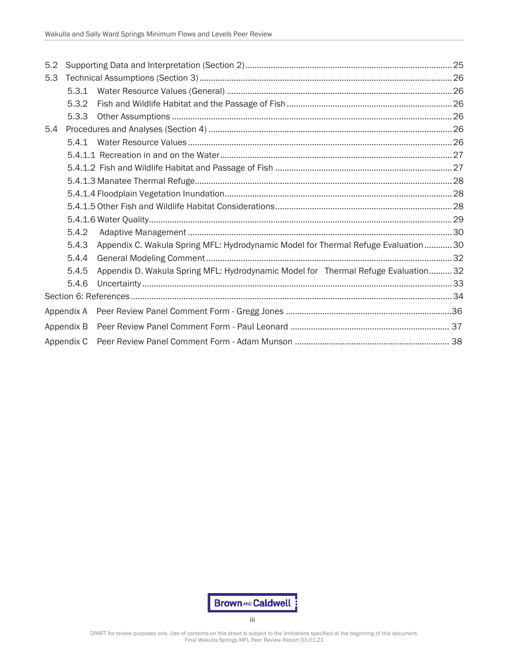| 5.2 |            |                                                                                    |  |
|-----|------------|------------------------------------------------------------------------------------|--|
| 5.3 |            |                                                                                    |  |
|     | 5.3.1      |                                                                                    |  |
|     | 5.3.2      |                                                                                    |  |
|     | 5.3.3      |                                                                                    |  |
| 5.4 |            |                                                                                    |  |
|     |            |                                                                                    |  |
|     |            |                                                                                    |  |
|     |            |                                                                                    |  |
|     |            |                                                                                    |  |
|     |            |                                                                                    |  |
|     |            |                                                                                    |  |
|     |            |                                                                                    |  |
|     | 5.4.2      |                                                                                    |  |
|     | 5.4.3      | Appendix C. Wakula Spring MFL: Hydrodynamic Model for Thermal Refuge Evaluation30  |  |
|     | 5.4.4      |                                                                                    |  |
|     | 5.4.5      | Appendix D. Wakula Spring MFL: Hydrodynamic Model for Thermal Refuge Evaluation 32 |  |
|     | 5.4.6      |                                                                                    |  |
|     |            |                                                                                    |  |
|     | Appendix A |                                                                                    |  |
|     | Appendix B |                                                                                    |  |
|     | Appendix C |                                                                                    |  |



iii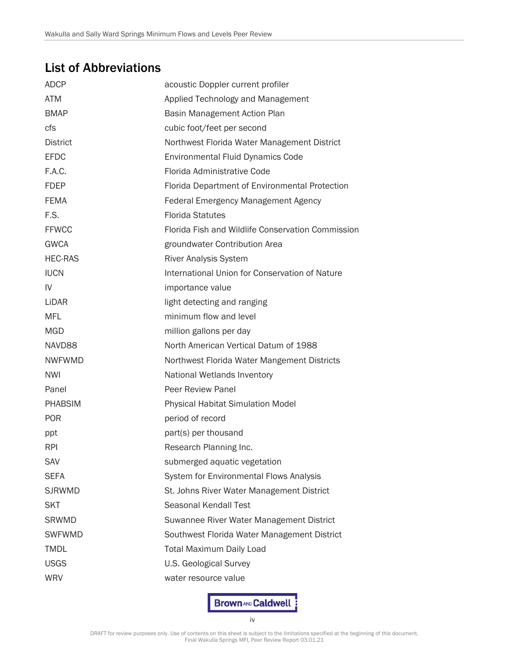### <span id="page-4-0"></span>List of Abbreviations

| <b>ADCP</b>     | acoustic Doppler current profiler                 |
|-----------------|---------------------------------------------------|
| <b>ATM</b>      | Applied Technology and Management                 |
| <b>BMAP</b>     | Basin Management Action Plan                      |
| cfs             | cubic foot/feet per second                        |
| <b>District</b> | Northwest Florida Water Management District       |
| <b>EFDC</b>     | <b>Environmental Fluid Dynamics Code</b>          |
| F.A.C.          | Florida Administrative Code                       |
| <b>FDEP</b>     | Florida Department of Environmental Protection    |
| <b>FEMA</b>     | Federal Emergency Management Agency               |
| F.S.            | <b>Florida Statutes</b>                           |
| <b>FFWCC</b>    | Florida Fish and Wildlife Conservation Commission |
| <b>GWCA</b>     | groundwater Contribution Area                     |
| <b>HEC-RAS</b>  | River Analysis System                             |
| <b>IUCN</b>     | International Union for Conservation of Nature    |
| IV              | importance value                                  |
| LiDAR           | light detecting and ranging                       |
| <b>MFL</b>      | minimum flow and level                            |
| <b>MGD</b>      | million gallons per day                           |
| NAVD88          | North American Vertical Datum of 1988             |
| <b>NWFWMD</b>   | Northwest Florida Water Mangement Districts       |
| <b>NWI</b>      | National Wetlands Inventory                       |
| Panel           | <b>Peer Review Panel</b>                          |
| <b>PHABSIM</b>  | <b>Physical Habitat Simulation Model</b>          |
| <b>POR</b>      | period of record                                  |
| ppt             | part(s) per thousand                              |
| RPI             | Research Planning Inc.                            |
| SAV             | submerged aquatic vegetation                      |
| <b>SEFA</b>     | System for Environmental Flows Analysis           |
| <b>SJRWMD</b>   | St. Johns River Water Management District         |
| <b>SKT</b>      | Seasonal Kendall Test                             |
| <b>SRWMD</b>    | Suwannee River Water Management District          |
| <b>SWFWMD</b>   | Southwest Florida Water Management District       |
| <b>TMDL</b>     | <b>Total Maximum Daily Load</b>                   |
| <b>USGS</b>     | <b>U.S. Geological Survey</b>                     |
| <b>WRV</b>      | water resource value                              |
|                 |                                                   |

**Brown AND Caldwell** 

÷

iv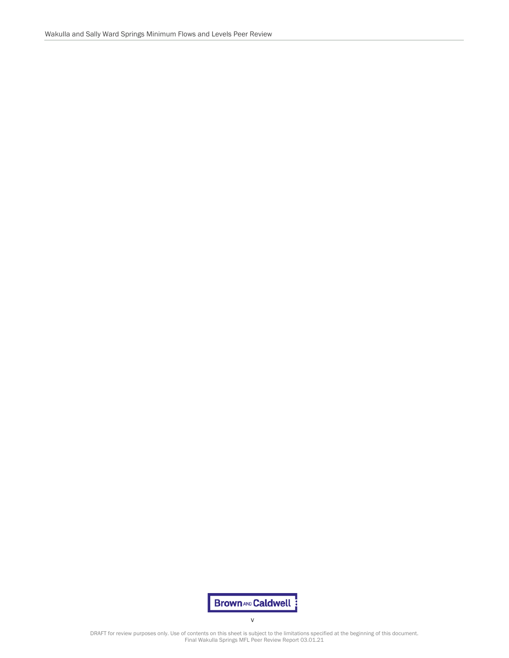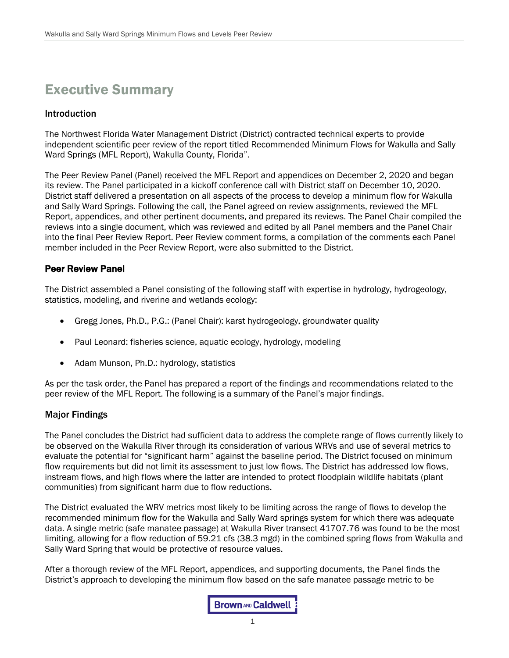## <span id="page-6-0"></span>Executive Summary

#### **Introduction**

The Northwest Florida Water Management District (District) contracted technical experts to provide independent scientific peer review of the report titled Recommended Minimum Flows for Wakulla and Sally Ward Springs (MFL Report), Wakulla County, Florida".

The Peer Review Panel (Panel) received the MFL Report and appendices on December 2, 2020 and began its review. The Panel participated in a kickoff conference call with District staff on December 10, 2020. District staff delivered a presentation on all aspects of the process to develop a minimum flow for Wakulla and Sally Ward Springs. Following the call, the Panel agreed on review assignments, reviewed the MFL Report, appendices, and other pertinent documents, and prepared its reviews. The Panel Chair compiled the reviews into a single document, which was reviewed and edited by all Panel members and the Panel Chair into the final Peer Review Report. Peer Review comment forms, a compilation of the comments each Panel member included in the Peer Review Report, were also submitted to the District.

#### Peer Review Panel

The District assembled a Panel consisting of the following staff with expertise in hydrology, hydrogeology, statistics, modeling, and riverine and wetlands ecology:

- Gregg Jones, Ph.D., P.G.: (Panel Chair): karst hydrogeology, groundwater quality
- Paul Leonard: fisheries science, aquatic ecology, hydrology, modeling
- Adam Munson, Ph.D.: hydrology, statistics

As per the task order, the Panel has prepared a report of the findings and recommendations related to the peer review of the MFL Report. The following is a summary of the Panel's major findings.

#### Major Findings

The Panel concludes the District had sufficient data to address the complete range of flows currently likely to be observed on the Wakulla River through its consideration of various WRVs and use of several metrics to evaluate the potential for "significant harm" against the baseline period. The District focused on minimum flow requirements but did not limit its assessment to just low flows. The District has addressed low flows, instream flows, and high flows where the latter are intended to protect floodplain wildlife habitats (plant communities) from significant harm due to flow reductions.

The District evaluated the WRV metrics most likely to be limiting across the range of flows to develop the recommended minimum flow for the Wakulla and Sally Ward springs system for which there was adequate data. A single metric (safe manatee passage) at Wakulla River transect 41707.76 was found to be the most limiting, allowing for a flow reduction of 59.21 cfs (38.3 mgd) in the combined spring flows from Wakulla and Sally Ward Spring that would be protective of resource values.

After a thorough review of the MFL Report, appendices, and supporting documents, the Panel finds the District's approach to developing the minimum flow based on the safe manatee passage metric to be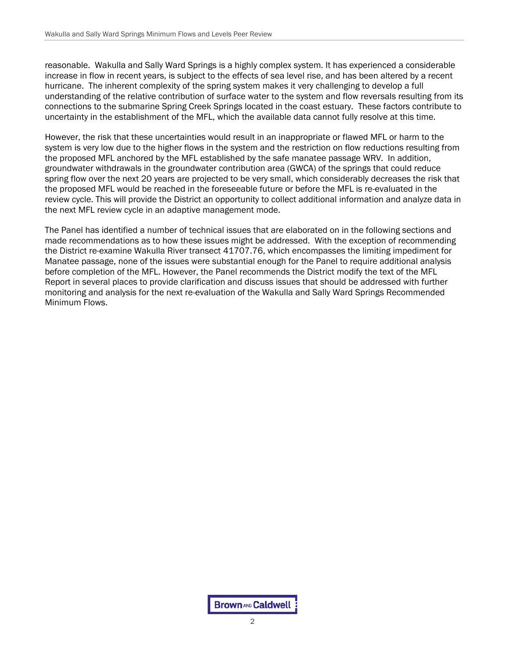reasonable. Wakulla and Sally Ward Springs is a highly complex system. It has experienced a considerable increase in flow in recent years, is subject to the effects of sea level rise, and has been altered by a recent hurricane. The inherent complexity of the spring system makes it very challenging to develop a full understanding of the relative contribution of surface water to the system and flow reversals resulting from its connections to the submarine Spring Creek Springs located in the coast estuary. These factors contribute to uncertainty in the establishment of the MFL, which the available data cannot fully resolve at this time.

However, the risk that these uncertainties would result in an inappropriate or flawed MFL or harm to the system is very low due to the higher flows in the system and the restriction on flow reductions resulting from the proposed MFL anchored by the MFL established by the safe manatee passage WRV. In addition, groundwater withdrawals in the groundwater contribution area (GWCA) of the springs that could reduce spring flow over the next 20 years are projected to be very small, which considerably decreases the risk that the proposed MFL would be reached in the foreseeable future or before the MFL is re-evaluated in the review cycle. This will provide the District an opportunity to collect additional information and analyze data in the next MFL review cycle in an adaptive management mode.

The Panel has identified a number of technical issues that are elaborated on in the following sections and made recommendations as to how these issues might be addressed. With the exception of recommending the District re-examine Wakulla River transect 41707.76, which encompasses the limiting impediment for Manatee passage, none of the issues were substantial enough for the Panel to require additional analysis before completion of the MFL. However, the Panel recommends the District modify the text of the MFL Report in several places to provide clarification and discuss issues that should be addressed with further monitoring and analysis for the next re-evaluation of the Wakulla and Sally Ward Springs Recommended Minimum Flows.

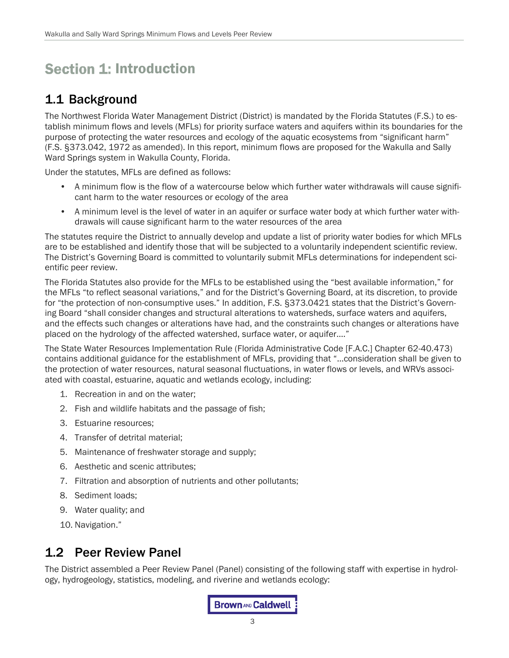# <span id="page-8-0"></span>**Section 1: Introduction**

### <span id="page-8-1"></span>1.1 Background

The Northwest Florida Water Management District (District) is mandated by the Florida Statutes (F.S.) to establish minimum flows and levels (MFLs) for priority surface waters and aquifers within its boundaries for the purpose of protecting the water resources and ecology of the aquatic ecosystems from "significant harm" (F.S. §373.042, 1972 as amended). In this report, minimum flows are proposed for the Wakulla and Sally Ward Springs system in Wakulla County, Florida.

Under the statutes, MFLs are defined as follows:

- A minimum flow is the flow of a watercourse below which further water withdrawals will cause significant harm to the water resources or ecology of the area
- A minimum level is the level of water in an aquifer or surface water body at which further water withdrawals will cause significant harm to the water resources of the area

The statutes require the District to annually develop and update a list of priority water bodies for which MFLs are to be established and identify those that will be subjected to a voluntarily independent scientific review. The District's Governing Board is committed to voluntarily submit MFLs determinations for independent scientific peer review.

The Florida Statutes also provide for the MFLs to be established using the "best available information," for the MFLs "to reflect seasonal variations," and for the District's Governing Board, at its discretion, to provide for "the protection of non-consumptive uses." In addition, F.S. §373.0421 states that the District's Governing Board "shall consider changes and structural alterations to watersheds, surface waters and aquifers, and the effects such changes or alterations have had, and the constraints such changes or alterations have placed on the hydrology of the affected watershed, surface water, or aquifer…."

The State Water Resources Implementation Rule (Florida Administrative Code [F.A.C.] Chapter 62-40.473) contains additional guidance for the establishment of MFLs, providing that "…consideration shall be given to the protection of water resources, natural seasonal fluctuations, in water flows or levels, and WRVs associated with coastal, estuarine, aquatic and wetlands ecology, including:

- 1. Recreation in and on the water;
- 2. Fish and wildlife habitats and the passage of fish;
- 3. Estuarine resources;
- 4. Transfer of detrital material;
- 5. Maintenance of freshwater storage and supply;
- 6. Aesthetic and scenic attributes;
- 7. Filtration and absorption of nutrients and other pollutants;
- 8. Sediment loads;
- 9. Water quality; and
- <span id="page-8-2"></span>10. Navigation."

### 1.2 Peer Review Panel

The District assembled a Peer Review Panel (Panel) consisting of the following staff with expertise in hydrology, hydrogeology, statistics, modeling, and riverine and wetlands ecology: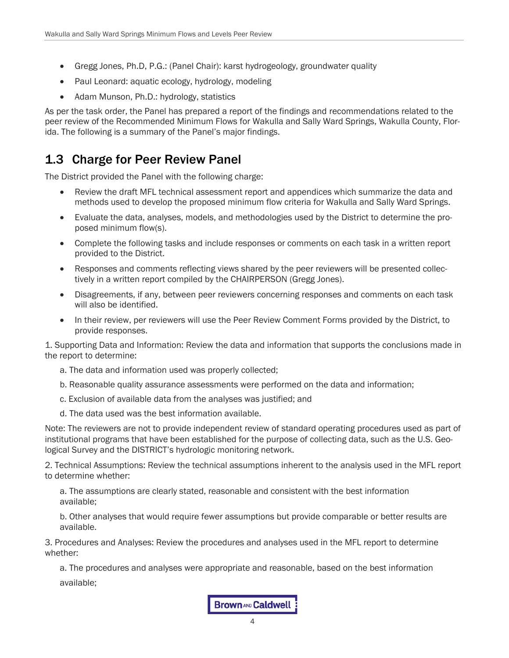- Gregg Jones, Ph.D, P.G.: (Panel Chair): karst hydrogeology, groundwater quality
- Paul Leonard: aquatic ecology, hydrology, modeling
- Adam Munson, Ph.D.: hydrology, statistics

As per the task order, the Panel has prepared a report of the findings and recommendations related to the peer review of the Recommended Minimum Flows for Wakulla and Sally Ward Springs, Wakulla County, Florida. The following is a summary of the Panel's major findings.

### <span id="page-9-0"></span>1.3 Charge for Peer Review Panel

The District provided the Panel with the following charge:

- Review the draft MFL technical assessment report and appendices which summarize the data and methods used to develop the proposed minimum flow criteria for Wakulla and Sally Ward Springs.
- Evaluate the data, analyses, models, and methodologies used by the District to determine the proposed minimum flow(s).
- Complete the following tasks and include responses or comments on each task in a written report provided to the District.
- Responses and comments reflecting views shared by the peer reviewers will be presented collectively in a written report compiled by the CHAIRPERSON (Gregg Jones).
- Disagreements, if any, between peer reviewers concerning responses and comments on each task will also be identified.
- In their review, per reviewers will use the Peer Review Comment Forms provided by the District, to provide responses.

1. Supporting Data and Information: Review the data and information that supports the conclusions made in the report to determine:

- a. The data and information used was properly collected;
- b. Reasonable quality assurance assessments were performed on the data and information;
- c. Exclusion of available data from the analyses was justified; and
- d. The data used was the best information available.

Note: The reviewers are not to provide independent review of standard operating procedures used as part of institutional programs that have been established for the purpose of collecting data, such as the U.S. Geological Survey and the DISTRICT's hydrologic monitoring network.

2. Technical Assumptions: Review the technical assumptions inherent to the analysis used in the MFL report to determine whether:

a. The assumptions are clearly stated, reasonable and consistent with the best information available;

b. Other analyses that would require fewer assumptions but provide comparable or better results are available.

3. Procedures and Analyses: Review the procedures and analyses used in the MFL report to determine whether:

a. The procedures and analyses were appropriate and reasonable, based on the best information available;

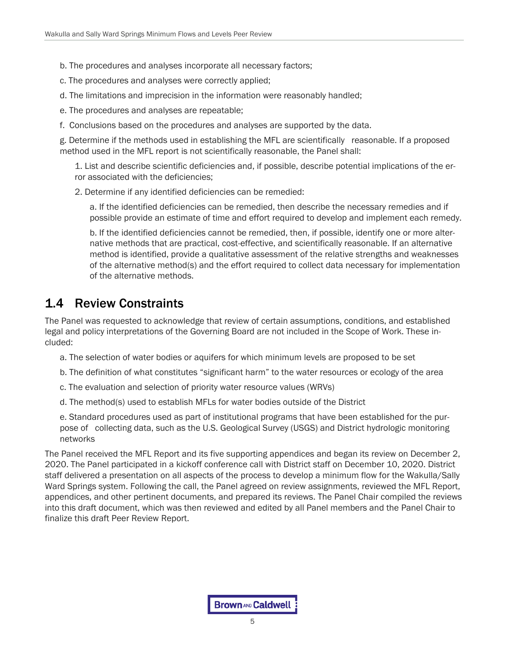- b. The procedures and analyses incorporate all necessary factors;
- c. The procedures and analyses were correctly applied;
- d. The limitations and imprecision in the information were reasonably handled;
- e. The procedures and analyses are repeatable;
- f. Conclusions based on the procedures and analyses are supported by the data.

g. Determine if the methods used in establishing the MFL are scientifically reasonable. If a proposed method used in the MFL report is not scientifically reasonable, the Panel shall:

1. List and describe scientific deficiencies and, if possible, describe potential implications of the error associated with the deficiencies;

2. Determine if any identified deficiencies can be remedied:

a. If the identified deficiencies can be remedied, then describe the necessary remedies and if possible provide an estimate of time and effort required to develop and implement each remedy.

b. If the identified deficiencies cannot be remedied, then, if possible, identify one or more alternative methods that are practical, cost-effective, and scientifically reasonable. If an alternative method is identified, provide a qualitative assessment of the relative strengths and weaknesses of the alternative method(s) and the effort required to collect data necessary for implementation of the alternative methods.

### <span id="page-10-0"></span>1.4 Review Constraints

The Panel was requested to acknowledge that review of certain assumptions, conditions, and established legal and policy interpretations of the Governing Board are not included in the Scope of Work. These included:

- a. The selection of water bodies or aquifers for which minimum levels are proposed to be set
- b. The definition of what constitutes "significant harm" to the water resources or ecology of the area
- c. The evaluation and selection of priority water resource values (WRVs)
- d. The method(s) used to establish MFLs for water bodies outside of the District

e. Standard procedures used as part of institutional programs that have been established for the purpose of collecting data, such as the U.S. Geological Survey (USGS) and District hydrologic monitoring networks

The Panel received the MFL Report and its five supporting appendices and began its review on December 2, 2020. The Panel participated in a kickoff conference call with District staff on December 10, 2020. District staff delivered a presentation on all aspects of the process to develop a minimum flow for the Wakulla/Sally Ward Springs system. Following the call, the Panel agreed on review assignments, reviewed the MFL Report, appendices, and other pertinent documents, and prepared its reviews. The Panel Chair compiled the reviews into this draft document, which was then reviewed and edited by all Panel members and the Panel Chair to finalize this draft Peer Review Report.

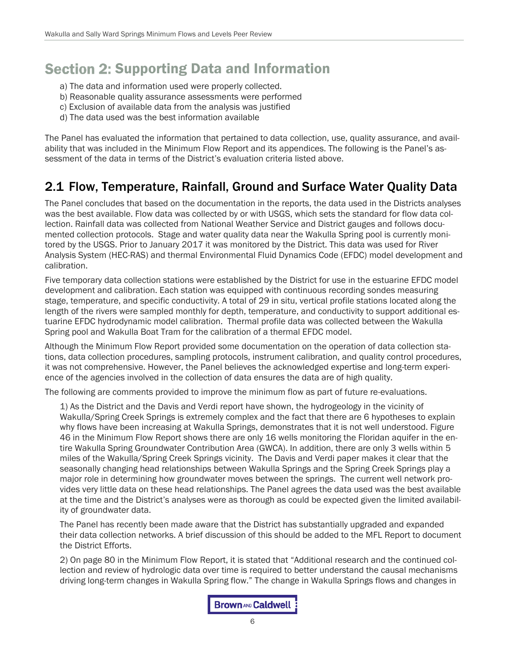# <span id="page-11-0"></span>**Section 2: Supporting Data and Information**

- a) The data and information used were properly collected.
- b) Reasonable quality assurance assessments were performed
- c) Exclusion of available data from the analysis was justified
- d) The data used was the best information available

The Panel has evaluated the information that pertained to data collection, use, quality assurance, and availability that was included in the Minimum Flow Report and its appendices. The following is the Panel's assessment of the data in terms of the District's evaluation criteria listed above.

### <span id="page-11-1"></span>2.1 Flow, Temperature, Rainfall, Ground and Surface Water Quality Data

The Panel concludes that based on the documentation in the reports, the data used in the Districts analyses was the best available. Flow data was collected by or with USGS, which sets the standard for flow data collection. Rainfall data was collected from National Weather Service and District gauges and follows documented collection protocols. Stage and water quality data near the Wakulla Spring pool is currently monitored by the USGS. Prior to January 2017 it was monitored by the District. This data was used for River Analysis System (HEC-RAS) and thermal Environmental Fluid Dynamics Code (EFDC) model development and calibration.

Five temporary data collection stations were established by the District for use in the estuarine EFDC model development and calibration. Each station was equipped with continuous recording sondes measuring stage, temperature, and specific conductivity. A total of 29 in situ, vertical profile stations located along the length of the rivers were sampled monthly for depth, temperature, and conductivity to support additional estuarine EFDC hydrodynamic model calibration. Thermal profile data was collected between the Wakulla Spring pool and Wakulla Boat Tram for the calibration of a thermal EFDC model.

Although the Minimum Flow Report provided some documentation on the operation of data collection stations, data collection procedures, sampling protocols, instrument calibration, and quality control procedures, it was not comprehensive. However, the Panel believes the acknowledged expertise and long-term experience of the agencies involved in the collection of data ensures the data are of high quality.

The following are comments provided to improve the minimum flow as part of future re-evaluations.

1) As the District and the Davis and Verdi report have shown, the hydrogeology in the vicinity of Wakulla/Spring Creek Springs is extremely complex and the fact that there are 6 hypotheses to explain why flows have been increasing at Wakulla Springs, demonstrates that it is not well understood. Figure 46 in the Minimum Flow Report shows there are only 16 wells monitoring the Floridan aquifer in the entire Wakulla Spring Groundwater Contribution Area (GWCA). In addition, there are only 3 wells within 5 miles of the Wakulla/Spring Creek Springs vicinity. The Davis and Verdi paper makes it clear that the seasonally changing head relationships between Wakulla Springs and the Spring Creek Springs play a major role in determining how groundwater moves between the springs. The current well network provides very little data on these head relationships. The Panel agrees the data used was the best available at the time and the District's analyses were as thorough as could be expected given the limited availability of groundwater data.

The Panel has recently been made aware that the District has substantially upgraded and expanded their data collection networks. A brief discussion of this should be added to the MFL Report to document the District Efforts.

2) On page 80 in the Minimum Flow Report, it is stated that "Additional research and the continued collection and review of hydrologic data over time is required to better understand the causal mechanisms driving long-term changes in Wakulla Spring flow." The change in Wakulla Springs flows and changes in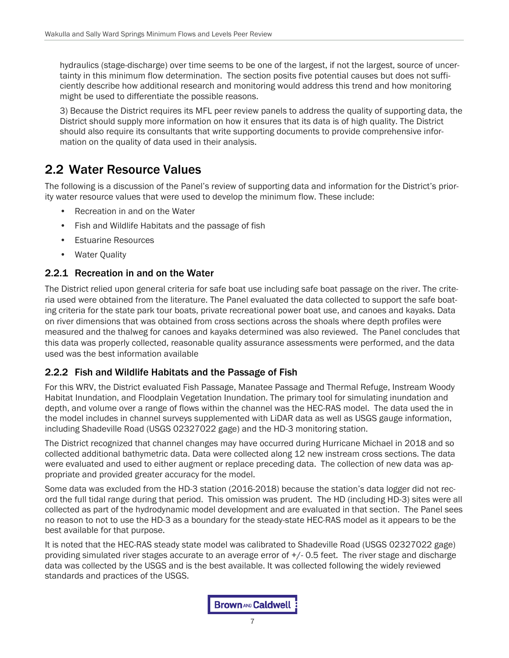hydraulics (stage-discharge) over time seems to be one of the largest, if not the largest, source of uncertainty in this minimum flow determination. The section posits five potential causes but does not sufficiently describe how additional research and monitoring would address this trend and how monitoring might be used to differentiate the possible reasons.

3) Because the District requires its MFL peer review panels to address the quality of supporting data, the District should supply more information on how it ensures that its data is of high quality. The District should also require its consultants that write supporting documents to provide comprehensive information on the quality of data used in their analysis.

### <span id="page-12-0"></span>2.2 Water Resource Values

The following is a discussion of the Panel's review of supporting data and information for the District's priority water resource values that were used to develop the minimum flow. These include:

- Recreation in and on the Water
- Fish and Wildlife Habitats and the passage of fish
- Estuarine Resources
- Water Quality

#### <span id="page-12-1"></span>2.2.1 Recreation in and on the Water

The District relied upon general criteria for safe boat use including safe boat passage on the river. The criteria used were obtained from the literature. The Panel evaluated the data collected to support the safe boating criteria for the state park tour boats, private recreational power boat use, and canoes and kayaks. Data on river dimensions that was obtained from cross sections across the shoals where depth profiles were measured and the thalweg for canoes and kayaks determined was also reviewed. The Panel concludes that this data was properly collected, reasonable quality assurance assessments were performed, and the data used was the best information available

#### <span id="page-12-2"></span>2.2.2 Fish and Wildlife Habitats and the Passage of Fish

For this WRV, the District evaluated Fish Passage, Manatee Passage and Thermal Refuge, Instream Woody Habitat Inundation, and Floodplain Vegetation Inundation. The primary tool for simulating inundation and depth, and volume over a range of flows within the channel was the HEC-RAS model. The data used the in the model includes in channel surveys supplemented with LiDAR data as well as USGS gauge information, including Shadeville Road (USGS 02327022 gage) and the HD-3 monitoring station.

The District recognized that channel changes may have occurred during Hurricane Michael in 2018 and so collected additional bathymetric data. Data were collected along 12 new instream cross sections. The data were evaluated and used to either augment or replace preceding data. The collection of new data was appropriate and provided greater accuracy for the model.

Some data was excluded from the HD-3 station (2016-2018) because the station's data logger did not record the full tidal range during that period. This omission was prudent. The HD (including HD-3) sites were all collected as part of the hydrodynamic model development and are evaluated in that section. The Panel sees no reason to not to use the HD-3 as a boundary for the steady-state HEC-RAS model as it appears to be the best available for that purpose.

It is noted that the HEC-RAS steady state model was calibrated to Shadeville Road (USGS 02327022 gage) providing simulated river stages accurate to an average error of +/- 0.5 feet. The river stage and discharge data was collected by the USGS and is the best available. It was collected following the widely reviewed standards and practices of the USGS.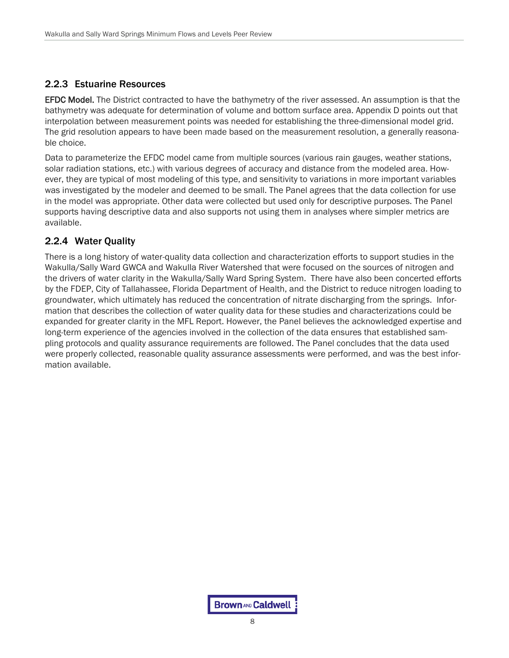#### <span id="page-13-0"></span>2.2.3 Estuarine Resources

**EFDC Model.** The District contracted to have the bathymetry of the river assessed. An assumption is that the bathymetry was adequate for determination of volume and bottom surface area. Appendix D points out that interpolation between measurement points was needed for establishing the three-dimensional model grid. The grid resolution appears to have been made based on the measurement resolution, a generally reasonable choice.

Data to parameterize the EFDC model came from multiple sources (various rain gauges, weather stations, solar radiation stations, etc.) with various degrees of accuracy and distance from the modeled area. However, they are typical of most modeling of this type, and sensitivity to variations in more important variables was investigated by the modeler and deemed to be small. The Panel agrees that the data collection for use in the model was appropriate. Other data were collected but used only for descriptive purposes. The Panel supports having descriptive data and also supports not using them in analyses where simpler metrics are available.

#### <span id="page-13-1"></span>2.2.4 Water Quality

There is a long history of water-quality data collection and characterization efforts to support studies in the Wakulla/Sally Ward GWCA and Wakulla River Watershed that were focused on the sources of nitrogen and the drivers of water clarity in the Wakulla/Sally Ward Spring System. There have also been concerted efforts by the FDEP, City of Tallahassee, Florida Department of Health, and the District to reduce nitrogen loading to groundwater, which ultimately has reduced the concentration of nitrate discharging from the springs. Information that describes the collection of water quality data for these studies and characterizations could be expanded for greater clarity in the MFL Report. However, the Panel believes the acknowledged expertise and long-term experience of the agencies involved in the collection of the data ensures that established sampling protocols and quality assurance requirements are followed. The Panel concludes that the data used were properly collected, reasonable quality assurance assessments were performed, and was the best information available.

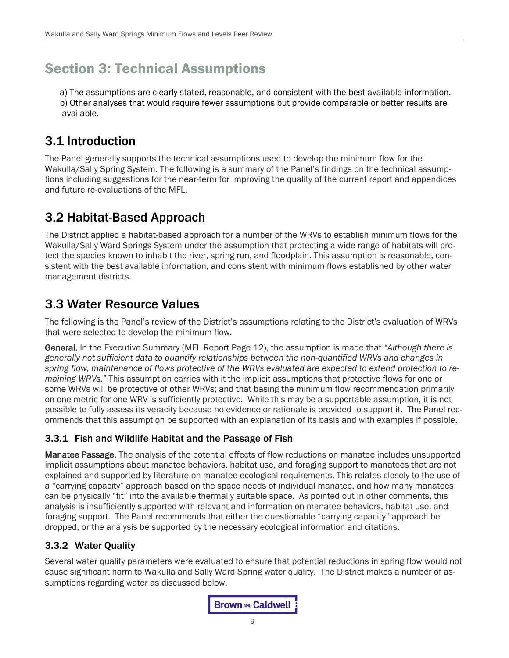## <span id="page-14-0"></span>Section 3: Technical Assumptions

a) The assumptions are clearly stated, reasonable, and consistent with the best available information. b) Other analyses that would require fewer assumptions but provide comparable or better results are available.

### <span id="page-14-1"></span>3.1 Introduction

The Panel generally supports the technical assumptions used to develop the minimum flow for the Wakulla/Sally Spring System. The following is a summary of the Panel's findings on the technical assumptions including suggestions for the near-term for improving the quality of the current report and appendices and future re-evaluations of the MFL.

### <span id="page-14-2"></span>3.2 Habitat-Based Approach

The District applied a habitat-based approach for a number of the WRVs to establish minimum flows for the Wakulla/Sally Ward Springs System under the assumption that protecting a wide range of habitats will protect the species known to inhabit the river, spring run, and floodplain. This assumption is reasonable, consistent with the best available information, and consistent with minimum flows established by other water management districts.

### <span id="page-14-3"></span>3.3 Water Resource Values

The following is the Panel's review of the District's assumptions relating to the District's evaluation of WRVs that were selected to develop the minimum flow.

General. In the Executive Summary (MFL Report Page 12), the assumption is made that *"Although there is generally not sufficient data to quantify relationships between the non-quantified WRVs and changes in spring flow, maintenance of flows protective of the WRVs evaluated are expected to extend protection to remaining WRVs."* This assumption carries with it the implicit assumptions that protective flows for one or some WRVs will be protective of other WRVs; and that basing the minimum flow recommendation primarily on one metric for one WRV is sufficiently protective. While this may be a supportable assumption, it is not possible to fully assess its veracity because no evidence or rationale is provided to support it. The Panel recommends that this assumption be supported with an explanation of its basis and with examples if possible.

### <span id="page-14-4"></span>3.3.1 Fish and Wildlife Habitat and the Passage of Fish

Manatee Passage. The analysis of the potential effects of flow reductions on manatee includes unsupported implicit assumptions about manatee behaviors, habitat use, and foraging support to manatees that are not explained and supported by literature on manatee ecological requirements. This relates closely to the use of a "carrying capacity" approach based on the space needs of individual manatee, and how many manatees can be physically "fit" into the available thermally suitable space. As pointed out in other comments, this analysis is insufficiently supported with relevant and information on manatee behaviors, habitat use, and foraging support. The Panel recommends that either the questionable "carrying capacity" approach be dropped, or the analysis be supported by the necessary ecological information and citations.

### <span id="page-14-5"></span>3.3.2 Water Quality

Several water quality parameters were evaluated to ensure that potential reductions in spring flow would not cause significant harm to Wakulla and Sally Ward Spring water quality. The District makes a number of assumptions regarding water as discussed below.

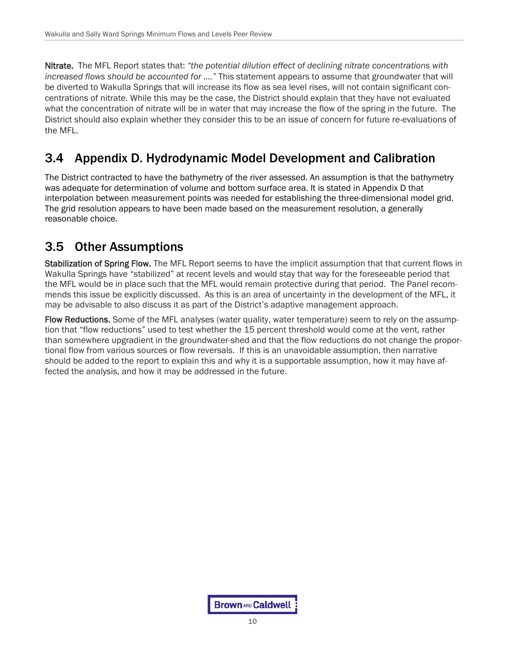Nitrate. The MFL Report states that: *"the potential dilution effect of declining nitrate concentrations with increased flows should be accounted for …."* This statement appears to assume that groundwater that will be diverted to Wakulla Springs that will increase its flow as sea level rises, will not contain significant concentrations of nitrate. While this may be the case, the District should explain that they have not evaluated what the concentration of nitrate will be in water that may increase the flow of the spring in the future. The District should also explain whether they consider this to be an issue of concern for future re-evaluations of the MFL.

### <span id="page-15-0"></span>3.4 Appendix D. Hydrodynamic Model Development and Calibration

The District contracted to have the bathymetry of the river assessed. An assumption is that the bathymetry was adequate for determination of volume and bottom surface area. It is stated in Appendix D that interpolation between measurement points was needed for establishing the three-dimensional model grid. The grid resolution appears to have been made based on the measurement resolution, a generally reasonable choice.

### <span id="page-15-1"></span>3.5 Other Assumptions

Stabilization of Spring Flow. The MFL Report seems to have the implicit assumption that that current flows in Wakulla Springs have "stabilized" at recent levels and would stay that way for the foreseeable period that the MFL would be in place such that the MFL would remain protective during that period. The Panel recommends this issue be explicitly discussed. As this is an area of uncertainty in the development of the MFL, it may be advisable to also discuss it as part of the District's adaptive management approach.

Flow Reductions. Some of the MFL analyses (water quality, water temperature) seem to rely on the assumption that "flow reductions" used to test whether the 15 percent threshold would come at the vent, rather than somewhere upgradient in the groundwater-shed and that the flow reductions do not change the proportional flow from various sources or flow reversals. If this is an unavoidable assumption, then narrative should be added to the report to explain this and why it is a supportable assumption, how it may have affected the analysis, and how it may be addressed in the future.

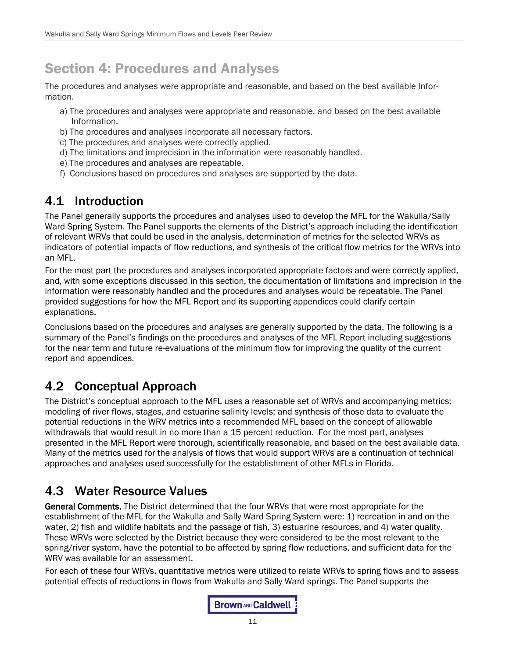## <span id="page-16-0"></span>Section 4: Procedures and Analyses

The procedures and analyses were appropriate and reasonable, and based on the best available Information.

- a) The procedures and analyses were appropriate and reasonable, and based on the best available Information.
- b) The procedures and analyses incorporate all necessary factors.
- c) The procedures and analyses were correctly applied.
- d) The limitations and imprecision in the information were reasonably handled.
- e) The procedures and analyses are repeatable.
- f) Conclusions based on procedures and analyses are supported by the data.

### <span id="page-16-1"></span>4.1 Introduction

The Panel generally supports the procedures and analyses used to develop the MFL for the Wakulla/Sally Ward Spring System. The Panel supports the elements of the District's approach including the identification of relevant WRVs that could be used in the analysis, determination of metrics for the selected WRVs as indicators of potential impacts of flow reductions, and synthesis of the critical flow metrics for the WRVs into an MFL.

For the most part the procedures and analyses incorporated appropriate factors and were correctly applied, and, with some exceptions discussed in this section, the documentation of limitations and imprecision in the information were reasonably handled and the procedures and analyses would be repeatable. The Panel provided suggestions for how the MFL Report and its supporting appendices could clarify certain explanations.

Conclusions based on the procedures and analyses are generally supported by the data. The following is a summary of the Panel's findings on the procedures and analyses of the MFL Report including suggestions for the near term and future re-evaluations of the minimum flow for improving the quality of the current report and appendices.

### <span id="page-16-2"></span>4.2 Conceptual Approach

The District's conceptual approach to the MFL uses a reasonable set of WRVs and accompanying metrics; modeling of river flows, stages, and estuarine salinity levels; and synthesis of those data to evaluate the potential reductions in the WRV metrics into a recommended MFL based on the concept of allowable withdrawals that would result in no more than a 15 percent reduction. For the most part, analyses presented in the MFL Report were thorough, scientifically reasonable, and based on the best available data. Many of the metrics used for the analysis of flows that would support WRVs are a continuation of technical approaches and analyses used successfully for the establishment of other MFLs in Florida.

### <span id="page-16-3"></span>4.3 Water Resource Values

General Comments. The District determined that the four WRVs that were most appropriate for the establishment of the MFL for the Wakulla and Sally Ward Spring System were: 1) recreation in and on the water, 2) fish and wildlife habitats and the passage of fish, 3) estuarine resources, and 4) water quality. These WRVs were selected by the District because they were considered to be the most relevant to the spring/river system, have the potential to be affected by spring flow reductions, and sufficient data for the WRV was available for an assessment.

For each of these four WRVs, quantitative metrics were utilized to relate WRVs to spring flows and to assess potential effects of reductions in flows from Wakulla and Sally Ward springs. The Panel supports the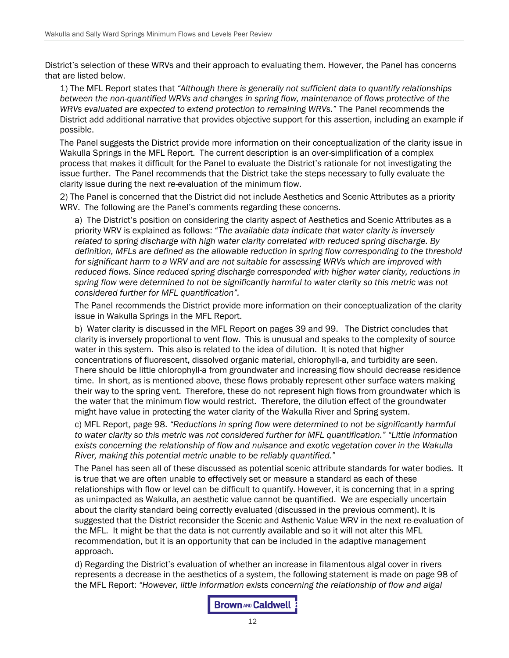District's selection of these WRVs and their approach to evaluating them. However, the Panel has concerns that are listed below.

1) The MFL Report states that *"Although there is generally not sufficient data to quantify relationships between the non-quantified WRVs and changes in spring flow, maintenance of flows protective of the WRVs evaluated are expected to extend protection to remaining WRVs."* The Panel recommends the District add additional narrative that provides objective support for this assertion, including an example if possible.

The Panel suggests the District provide more information on their conceptualization of the clarity issue in Wakulla Springs in the MFL Report. The current description is an over-simplification of a complex process that makes it difficult for the Panel to evaluate the District's rationale for not investigating the issue further. The Panel recommends that the District take the steps necessary to fully evaluate the clarity issue during the next re-evaluation of the minimum flow.

2) The Panel is concerned that the District did not include Aesthetics and Scenic Attributes as a priority WRV. The following are the Panel's comments regarding these concerns.

a) The District's position on considering the clarity aspect of Aesthetics and Scenic Attributes as a priority WRV is explained as follows: "*The available data indicate that water clarity is inversely related to spring discharge with high water clarity correlated with reduced spring discharge. By definition, MFLs are defined as the allowable reduction in spring flow corresponding to the threshold for significant harm to a WRV and are not suitable for assessing WRVs which are improved with reduced flows. Since reduced spring discharge corresponded with higher water clarity, reductions in spring flow were determined to not be significantly harmful to water clarity so this metric was not considered further for MFL quantification".*

The Panel recommends the District provide more information on their conceptualization of the clarity issue in Wakulla Springs in the MFL Report.

b) Water clarity is discussed in the MFL Report on pages 39 and 99. The District concludes that clarity is inversely proportional to vent flow. This is unusual and speaks to the complexity of source water in this system. This also is related to the idea of dilution. It is noted that higher concentrations of fluorescent, dissolved organic material, chlorophyll-a, and turbidity are seen. There should be little chlorophyll-a from groundwater and increasing flow should decrease residence time. In short, as is mentioned above, these flows probably represent other surface waters making their way to the spring vent. Therefore, these do not represent high flows from groundwater which is the water that the minimum flow would restrict. Therefore, the dilution effect of the groundwater might have value in protecting the water clarity of the Wakulla River and Spring system.

c) MFL Report, page 98. *"Reductions in spring flow were determined to not be significantly harmful to water clarity so this metric was not considered further for MFL quantification." "Little information exists concerning the relationship of flow and nuisance and exotic vegetation cover in the Wakulla River, making this potential metric unable to be reliably quantified."*

The Panel has seen all of these discussed as potential scenic attribute standards for water bodies. It is true that we are often unable to effectively set or measure a standard as each of these relationships with flow or level can be difficult to quantify. However, it is concerning that in a spring as unimpacted as Wakulla, an aesthetic value cannot be quantified. We are especially uncertain about the clarity standard being correctly evaluated (discussed in the previous comment). It is suggested that the District reconsider the Scenic and Asthenic Value WRV in the next re-evaluation of the MFL. It might be that the data is not currently available and so it will not alter this MFL recommendation, but it is an opportunity that can be included in the adaptive management approach.

d) Regarding the District's evaluation of whether an increase in filamentous algal cover in rivers represents a decrease in the aesthetics of a system, the following statement is made on page 98 of the MFL Report: *"However, little information exists concerning the relationship of flow and algal*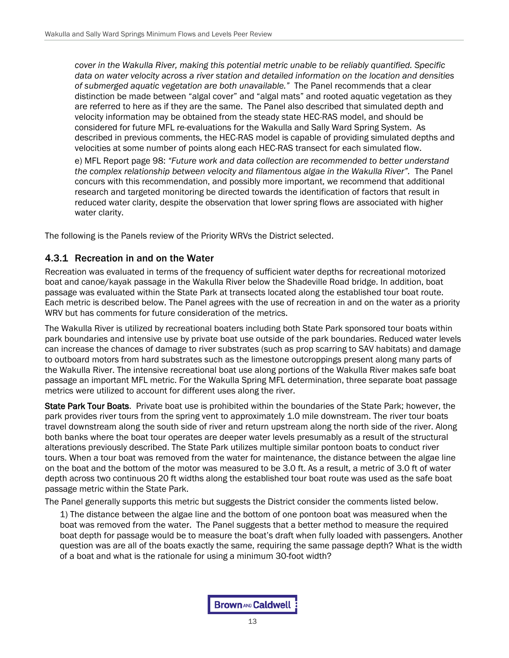*cover in the Wakulla River, making this potential metric unable to be reliably quantified. Specific data on water velocity across a river station and detailed information on the location and densities of submerged aquatic vegetation are both unavailable."* The Panel recommends that a clear distinction be made between "algal cover" and "algal mats" and rooted aquatic vegetation as they are referred to here as if they are the same. The Panel also described that simulated depth and velocity information may be obtained from the steady state HEC-RAS model, and should be considered for future MFL re-evaluations for the Wakulla and Sally Ward Spring System. As described in previous comments, the HEC-RAS model is capable of providing simulated depths and velocities at some number of points along each HEC-RAS transect for each simulated flow.

e) MFL Report page 98: *"Future work and data collection are recommended to better understand the complex relationship between velocity and filamentous algae in the Wakulla River".* The Panel concurs with this recommendation, and possibly more important, we recommend that additional research and targeted monitoring be directed towards the identification of factors that result in reduced water clarity, despite the observation that lower spring flows are associated with higher water clarity.

The following is the Panels review of the Priority WRVs the District selected.

#### <span id="page-18-0"></span>4.3.1 Recreation in and on the Water

Recreation was evaluated in terms of the frequency of sufficient water depths for recreational motorized boat and canoe/kayak passage in the Wakulla River below the Shadeville Road bridge. In addition, boat passage was evaluated within the State Park at transects located along the established tour boat route. Each metric is described below. The Panel agrees with the use of recreation in and on the water as a priority WRV but has comments for future consideration of the metrics.

The Wakulla River is utilized by recreational boaters including both State Park sponsored tour boats within park boundaries and intensive use by private boat use outside of the park boundaries. Reduced water levels can increase the chances of damage to river substrates (such as prop scarring to SAV habitats) and damage to outboard motors from hard substrates such as the limestone outcroppings present along many parts of the Wakulla River. The intensive recreational boat use along portions of the Wakulla River makes safe boat passage an important MFL metric. For the Wakulla Spring MFL determination, three separate boat passage metrics were utilized to account for different uses along the river.

State Park Tour Boats. Private boat use is prohibited within the boundaries of the State Park; however, the park provides river tours from the spring vent to approximately 1.0 mile downstream. The river tour boats travel downstream along the south side of river and return upstream along the north side of the river. Along both banks where the boat tour operates are deeper water levels presumably as a result of the structural alterations previously described. The State Park utilizes multiple similar pontoon boats to conduct river tours. When a tour boat was removed from the water for maintenance, the distance between the algae line on the boat and the bottom of the motor was measured to be 3.0 ft. As a result, a metric of 3.0 ft of water depth across two continuous 20 ft widths along the established tour boat route was used as the safe boat passage metric within the State Park.

The Panel generally supports this metric but suggests the District consider the comments listed below.

1) The distance between the algae line and the bottom of one pontoon boat was measured when the boat was removed from the water. The Panel suggests that a better method to measure the required boat depth for passage would be to measure the boat's draft when fully loaded with passengers. Another question was are all of the boats exactly the same, requiring the same passage depth? What is the width of a boat and what is the rationale for using a minimum 30-foot width?

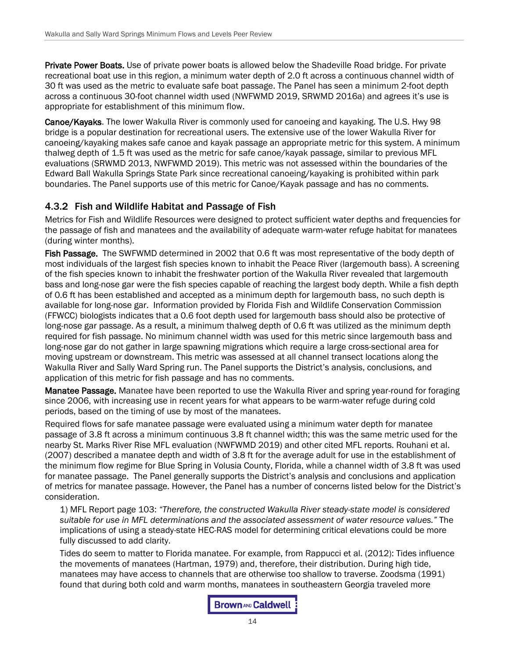Private Power Boats. Use of private power boats is allowed below the Shadeville Road bridge. For private recreational boat use in this region, a minimum water depth of 2.0 ft across a continuous channel width of 30 ft was used as the metric to evaluate safe boat passage. The Panel has seen a minimum 2-foot depth across a continuous 30-foot channel width used (NWFWMD 2019, SRWMD 2016a) and agrees it's use is appropriate for establishment of this minimum flow.

Canoe/Kayaks. The lower Wakulla River is commonly used for canoeing and kayaking. The U.S. Hwy 98 bridge is a popular destination for recreational users. The extensive use of the lower Wakulla River for canoeing/kayaking makes safe canoe and kayak passage an appropriate metric for this system. A minimum thalweg depth of 1.5 ft was used as the metric for safe canoe/kayak passage, similar to previous MFL evaluations (SRWMD 2013, NWFWMD 2019). This metric was not assessed within the boundaries of the Edward Ball Wakulla Springs State Park since recreational canoeing/kayaking is prohibited within park boundaries. The Panel supports use of this metric for Canoe/Kayak passage and has no comments.

#### <span id="page-19-0"></span>4.3.2 Fish and Wildlife Habitat and Passage of Fish

Metrics for Fish and Wildlife Resources were designed to protect sufficient water depths and frequencies for the passage of fish and manatees and the availability of adequate warm-water refuge habitat for manatees (during winter months).

Fish Passage. The SWFWMD determined in 2002 that 0.6 ft was most representative of the body depth of most individuals of the largest fish species known to inhabit the Peace River (largemouth bass). A screening of the fish species known to inhabit the freshwater portion of the Wakulla River revealed that largemouth bass and long-nose gar were the fish species capable of reaching the largest body depth. While a fish depth of 0.6 ft has been established and accepted as a minimum depth for largemouth bass, no such depth is available for long-nose gar. Information provided by Florida Fish and Wildlife Conservation Commission (FFWCC) biologists indicates that a 0.6 foot depth used for largemouth bass should also be protective of long-nose gar passage. As a result, a minimum thalweg depth of 0.6 ft was utilized as the minimum depth required for fish passage. No minimum channel width was used for this metric since largemouth bass and long-nose gar do not gather in large spawning migrations which require a large cross-sectional area for moving upstream or downstream. This metric was assessed at all channel transect locations along the Wakulla River and Sally Ward Spring run. The Panel supports the District's analysis, conclusions, and application of this metric for fish passage and has no comments.

Manatee Passage. Manatee have been reported to use the Wakulla River and spring year-round for foraging since 2006, with increasing use in recent years for what appears to be warm-water refuge during cold periods, based on the timing of use by most of the manatees.

Required flows for safe manatee passage were evaluated using a minimum water depth for manatee passage of 3.8 ft across a minimum continuous 3.8 ft channel width; this was the same metric used for the nearby St. Marks River Rise MFL evaluation (NWFWMD 2019) and other cited MFL reports. Rouhani et al. (2007) described a manatee depth and width of 3.8 ft for the average adult for use in the establishment of the minimum flow regime for Blue Spring in Volusia County, Florida, while a channel width of 3.8 ft was used for manatee passage. The Panel generally supports the District's analysis and conclusions and application of metrics for manatee passage. However, the Panel has a number of concerns listed below for the District's consideration.

1) MFL Report page 103: *"Therefore, the constructed Wakulla River steady-state model is considered suitable for use in MFL determinations and the associated assessment of water resource values."* The implications of using a steady-state HEC-RAS model for determining critical elevations could be more fully discussed to add clarity.

Tides do seem to matter to Florida manatee. For example, from Rappucci et al. (2012): Tides influence the movements of manatees (Hartman, 1979) and, therefore, their distribution. During high tide, manatees may have access to channels that are otherwise too shallow to traverse. Zoodsma (1991) found that during both cold and warm months, manatees in southeastern Georgia traveled more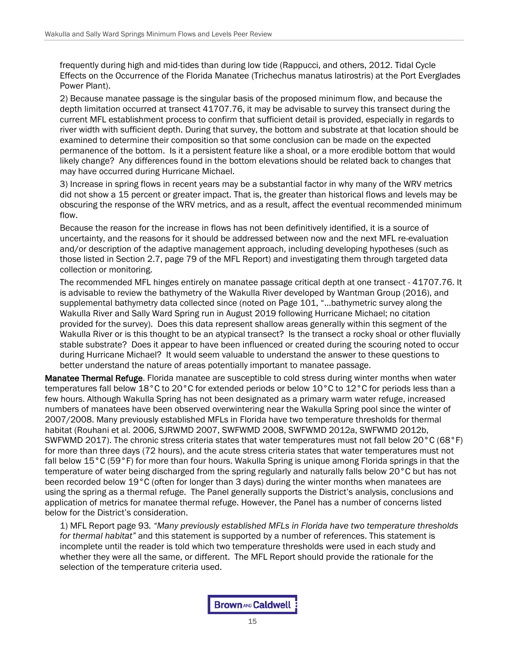frequently during high and mid-tides than during low tide (Rappucci, and others, 2012. Tidal Cycle Effects on the Occurrence of the Florida Manatee (Trichechus manatus latirostris) at the Port Everglades Power Plant).

2) Because manatee passage is the singular basis of the proposed minimum flow, and because the depth limitation occurred at transect 41707.76, it may be advisable to survey this transect during the current MFL establishment process to confirm that sufficient detail is provided, especially in regards to river width with sufficient depth. During that survey, the bottom and substrate at that location should be examined to determine their composition so that some conclusion can be made on the expected permanence of the bottom. Is it a persistent feature like a shoal, or a more erodible bottom that would likely change? Any differences found in the bottom elevations should be related back to changes that may have occurred during Hurricane Michael.

3) Increase in spring flows in recent years may be a substantial factor in why many of the WRV metrics did not show a 15 percent or greater impact. That is, the greater than historical flows and levels may be obscuring the response of the WRV metrics, and as a result, affect the eventual recommended minimum flow.

Because the reason for the increase in flows has not been definitively identified, it is a source of uncertainty, and the reasons for it should be addressed between now and the next MFL re-evaluation and/or description of the adaptive management approach, including developing hypotheses (such as those listed in Section 2.7, page 79 of the MFL Report) and investigating them through targeted data collection or monitoring.

The recommended MFL hinges entirely on manatee passage critical depth at one transect - 41707.76. It is advisable to review the bathymetry of the Wakulla River developed by Wantman Group (2016), and supplemental bathymetry data collected since (noted on Page 101, "…bathymetric survey along the Wakulla River and Sally Ward Spring run in August 2019 following Hurricane Michael; no citation provided for the survey). Does this data represent shallow areas generally within this segment of the Wakulla River or is this thought to be an atypical transect? Is the transect a rocky shoal or other fluvially stable substrate? Does it appear to have been influenced or created during the scouring noted to occur during Hurricane Michael? It would seem valuable to understand the answer to these questions to better understand the nature of areas potentially important to manatee passage.

Manatee Thermal Refuge. Florida manatee are susceptible to cold stress during winter months when water temperatures fall below 18°C to 20°C for extended periods or below 10°C to 12°C for periods less than a few hours. Although Wakulla Spring has not been designated as a primary warm water refuge, increased numbers of manatees have been observed overwintering near the Wakulla Spring pool since the winter of 2007/2008. Many previously established MFLs in Florida have two temperature thresholds for thermal habitat (Rouhani et al. 2006, SJRWMD 2007, SWFWMD 2008, SWFWMD 2012a, SWFWMD 2012b, SWFWMD 2017). The chronic stress criteria states that water temperatures must not fall below 20°C (68°F) for more than three days (72 hours), and the acute stress criteria states that water temperatures must not fall below 15°C (59°F) for more than four hours. Wakulla Spring is unique among Florida springs in that the temperature of water being discharged from the spring regularly and naturally falls below 20°C but has not been recorded below 19°C (often for longer than 3 days) during the winter months when manatees are using the spring as a thermal refuge. The Panel generally supports the District's analysis, conclusions and application of metrics for manatee thermal refuge. However, the Panel has a number of concerns listed below for the District's consideration.

1) MFL Report page 93*. "Many previously established MFLs in Florida have two temperature thresholds for thermal habitat"* and this statement is supported by a number of references. This statement is incomplete until the reader is told which two temperature thresholds were used in each study and whether they were all the same, or different. The MFL Report should provide the rationale for the selection of the temperature criteria used.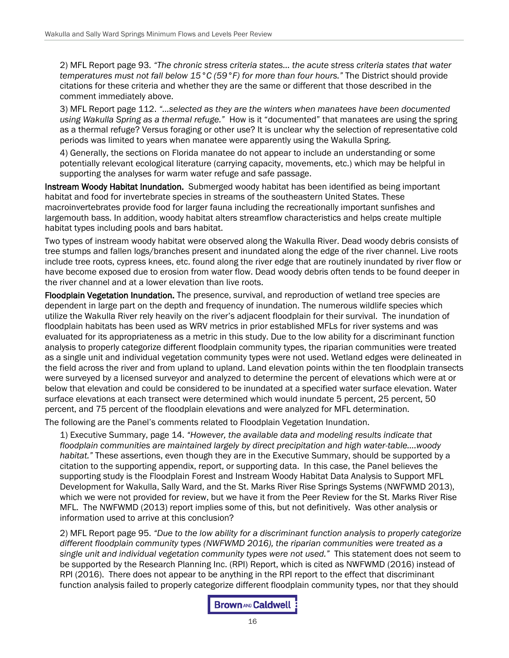2) MFL Report page 93. *"The chronic stress criteria states… the acute stress criteria states that water temperatures must not fall below 15°C (59°F) for more than four hours."* The District should provide citations for these criteria and whether they are the same or different that those described in the comment immediately above.

3) MFL Report page 112. *"…selected as they are the winters when manatees have been documented using Wakulla Spring as a thermal refuge."* How is it "documented" that manatees are using the spring as a thermal refuge? Versus foraging or other use? It is unclear why the selection of representative cold periods was limited to years when manatee were apparently using the Wakulla Spring.

4) Generally, the sections on Florida manatee do not appear to include an understanding or some potentially relevant ecological literature (carrying capacity, movements, etc.) which may be helpful in supporting the analyses for warm water refuge and safe passage.

Instream Woody Habitat Inundation. Submerged woody habitat has been identified as being important habitat and food for invertebrate species in streams of the southeastern United States. These macroinvertebrates provide food for larger fauna including the recreationally important sunfishes and largemouth bass. In addition, woody habitat alters streamflow characteristics and helps create multiple habitat types including pools and bars habitat.

Two types of instream woody habitat were observed along the Wakulla River. Dead woody debris consists of tree stumps and fallen logs/branches present and inundated along the edge of the river channel. Live roots include tree roots, cypress knees, etc. found along the river edge that are routinely inundated by river flow or have become exposed due to erosion from water flow. Dead woody debris often tends to be found deeper in the river channel and at a lower elevation than live roots.

Floodplain Vegetation Inundation. The presence, survival, and reproduction of wetland tree species are dependent in large part on the depth and frequency of inundation. The numerous wildlife species which utilize the Wakulla River rely heavily on the river's adjacent floodplain for their survival. The inundation of floodplain habitats has been used as WRV metrics in prior established MFLs for river systems and was evaluated for its appropriateness as a metric in this study. Due to the low ability for a discriminant function analysis to properly categorize different floodplain community types, the riparian communities were treated as a single unit and individual vegetation community types were not used. Wetland edges were delineated in the field across the river and from upland to upland. Land elevation points within the ten floodplain transects were surveyed by a licensed surveyor and analyzed to determine the percent of elevations which were at or below that elevation and could be considered to be inundated at a specified water surface elevation. Water surface elevations at each transect were determined which would inundate 5 percent, 25 percent, 50 percent, and 75 percent of the floodplain elevations and were analyzed for MFL determination.

The following are the Panel's comments related to Floodplain Vegetation Inundation.

1) Executive Summary, page 14. *"However, the available data and modeling results indicate that floodplain communities are maintained largely by direct precipitation and high water-table….woody habitat."* These assertions, even though they are in the Executive Summary, should be supported by a citation to the supporting appendix, report, or supporting data. In this case, the Panel believes the supporting study is the Floodplain Forest and Instream Woody Habitat Data Analysis to Support MFL Development for Wakulla, Sally Ward, and the St. Marks River Rise Springs Systems (NWFWMD 2013), which we were not provided for review, but we have it from the Peer Review for the St. Marks River Rise MFL. The NWFWMD (2013) report implies some of this, but not definitively. Was other analysis or information used to arrive at this conclusion?

2) MFL Report page 95. *"Due to the low ability for a discriminant function analysis to properly categorize different floodplain community types (NWFWMD 2016), the riparian communities were treated as a single unit and individual vegetation community types were not used."* This statement does not seem to be supported by the Research Planning Inc. (RPI) Report, which is cited as NWFWMD (2016) instead of RPI (2016). There does not appear to be anything in the RPI report to the effect that discriminant function analysis failed to properly categorize different floodplain community types, nor that they should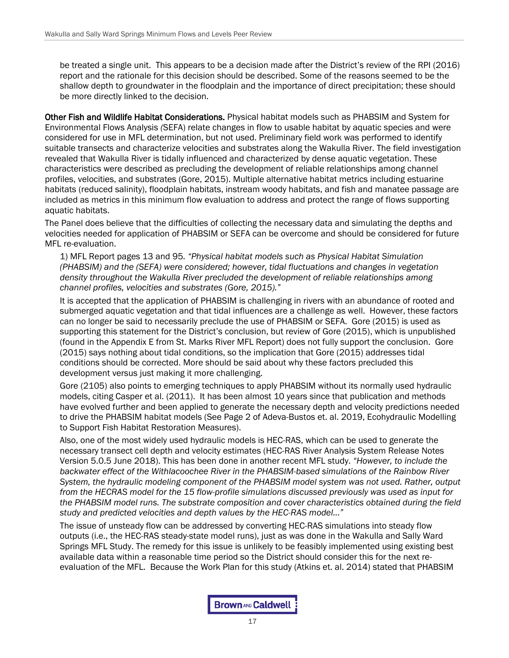be treated a single unit. This appears to be a decision made after the District's review of the RPI (2016) report and the rationale for this decision should be described. Some of the reasons seemed to be the shallow depth to groundwater in the floodplain and the importance of direct precipitation; these should be more directly linked to the decision.

Other Fish and Wildlife Habitat Considerations. Physical habitat models such as PHABSIM and System for Environmental Flows Analysis *(*SEFA) relate changes in flow to usable habitat by aquatic species and were considered for use in MFL determination, but not used. Preliminary field work was performed to identify suitable transects and characterize velocities and substrates along the Wakulla River. The field investigation revealed that Wakulla River is tidally influenced and characterized by dense aquatic vegetation. These characteristics were described as precluding the development of reliable relationships among channel profiles, velocities, and substrates (Gore, 2015). Multiple alternative habitat metrics including estuarine habitats (reduced salinity), floodplain habitats, instream woody habitats, and fish and manatee passage are included as metrics in this minimum flow evaluation to address and protect the range of flows supporting aquatic habitats.

The Panel does believe that the difficulties of collecting the necessary data and simulating the depths and velocities needed for application of PHABSIM or SEFA can be overcome and should be considered for future MFL re-evaluation.

1) MFL Report pages 13 and 95*. "Physical habitat models such as Physical Habitat Simulation (PHABSIM) and the (SEFA) were considered; however, tidal fluctuations and changes in vegetation density throughout the Wakulla River precluded the development of reliable relationships among channel profiles, velocities and substrates (Gore, 2015)."*

It is accepted that the application of PHABSIM is challenging in rivers with an abundance of rooted and submerged aquatic vegetation and that tidal influences are a challenge as well. However, these factors can no longer be said to necessarily preclude the use of PHABSIM or SEFA. Gore (2015) is used as supporting this statement for the District's conclusion, but review of Gore (2015), which is unpublished (found in the Appendix E from St. Marks River MFL Report) does not fully support the conclusion. Gore (2015) says nothing about tidal conditions, so the implication that Gore (2015) addresses tidal conditions should be corrected. More should be said about why these factors precluded this development versus just making it more challenging.

Gore (2105) also points to emerging techniques to apply PHABSIM without its normally used hydraulic models, citing Casper et al. (2011). It has been almost 10 years since that publication and methods have evolved further and been applied to generate the necessary depth and velocity predictions needed to drive the PHABSIM habitat models (See Page 2 of Adeva-Bustos et. al. 2019, Ecohydraulic Modelling to Support Fish Habitat Restoration Measures).

Also, one of the most widely used hydraulic models is HEC-RAS, which can be used to generate the necessary transect cell depth and velocity estimates (HEC-RAS River Analysis System Release Notes Version 5.0.5 June 2018). This has been done in another recent MFL study. *"However, to include the backwater effect of the Withlacoochee River in the PHABSIM-based simulations of the Rainbow River System, the hydraulic modeling component of the PHABSIM model system was not used. Rather, output from the HECRAS model for the 15 flow-profile simulations discussed previously was used as input for the PHABSIM model runs. The substrate composition and cover characteristics obtained during the field study and predicted velocities and depth values by the HEC-RAS model…"* 

The issue of unsteady flow can be addressed by converting HEC-RAS simulations into steady flow outputs (i.e., the HEC-RAS steady-state model runs), just as was done in the Wakulla and Sally Ward Springs MFL Study. The remedy for this issue is unlikely to be feasibly implemented using existing best available data within a reasonable time period so the District should consider this for the next reevaluation of the MFL. Because the Work Plan for this study (Atkins et. al. 2014) stated that PHABSIM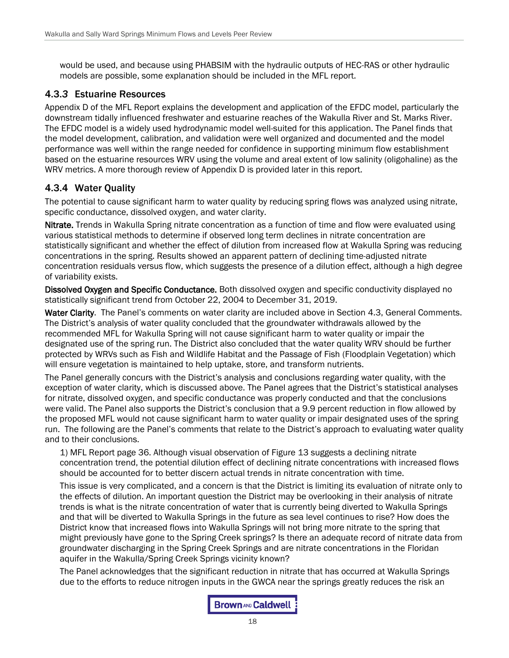would be used, and because using PHABSIM with the hydraulic outputs of HEC-RAS or other hydraulic models are possible, some explanation should be included in the MFL report.

#### <span id="page-23-0"></span>4.3.*3* Estuarine Resources

Appendix D of the MFL Report explains the development and application of the EFDC model, particularly the downstream tidally influenced freshwater and estuarine reaches of the Wakulla River and St. Marks River. The EFDC model is a widely used hydrodynamic model well-suited for this application. The Panel finds that the model development, calibration, and validation were well organized and documented and the model performance was well within the range needed for confidence in supporting minimum flow establishment based on the estuarine resources WRV using the volume and areal extent of low salinity (oligohaline) as the WRV metrics. A more thorough review of Appendix D is provided later in this report.

#### <span id="page-23-1"></span>4.3.4 Water Quality

The potential to cause significant harm to water quality by reducing spring flows was analyzed using nitrate, specific conductance, dissolved oxygen, and water clarity.

Nitrate. Trends in Wakulla Spring nitrate concentration as a function of time and flow were evaluated using various statistical methods to determine if observed long term declines in nitrate concentration are statistically significant and whether the effect of dilution from increased flow at Wakulla Spring was reducing concentrations in the spring. Results showed an apparent pattern of declining time-adjusted nitrate concentration residuals versus flow, which suggests the presence of a dilution effect, although a high degree of variability exists.

Dissolved Oxygen and Specific Conductance. Both dissolved oxygen and specific conductivity displayed no statistically significant trend from October 22, 2004 to December 31, 2019.

Water Clarity. The Panel's comments on water clarity are included above in Section 4.3, General Comments. The District's analysis of water quality concluded that the groundwater withdrawals allowed by the recommended MFL for Wakulla Spring will not cause significant harm to water quality or impair the designated use of the spring run. The District also concluded that the water quality WRV should be further protected by WRVs such as Fish and Wildlife Habitat and the Passage of Fish (Floodplain Vegetation) which will ensure vegetation is maintained to help uptake, store, and transform nutrients.

The Panel generally concurs with the District's analysis and conclusions regarding water quality, with the exception of water clarity, which is discussed above. The Panel agrees that the District's statistical analyses for nitrate, dissolved oxygen, and specific conductance was properly conducted and that the conclusions were valid. The Panel also supports the District's conclusion that a 9.9 percent reduction in flow allowed by the proposed MFL would not cause significant harm to water quality or impair designated uses of the spring run. The following are the Panel's comments that relate to the District's approach to evaluating water quality and to their conclusions.

1) MFL Report page 36. Although visual observation of Figure 13 suggests a declining nitrate concentration trend, the potential dilution effect of declining nitrate concentrations with increased flows should be accounted for to better discern actual trends in nitrate concentration with time.

This issue is very complicated, and a concern is that the District is limiting its evaluation of nitrate only to the effects of dilution. An important question the District may be overlooking in their analysis of nitrate trends is what is the nitrate concentration of water that is currently being diverted to Wakulla Springs and that will be diverted to Wakulla Springs in the future as sea level continues to rise? How does the District know that increased flows into Wakulla Springs will not bring more nitrate to the spring that might previously have gone to the Spring Creek springs? Is there an adequate record of nitrate data from groundwater discharging in the Spring Creek Springs and are nitrate concentrations in the Floridan aquifer in the Wakulla/Spring Creek Springs vicinity known?

The Panel acknowledges that the significant reduction in nitrate that has occurred at Wakulla Springs due to the efforts to reduce nitrogen inputs in the GWCA near the springs greatly reduces the risk an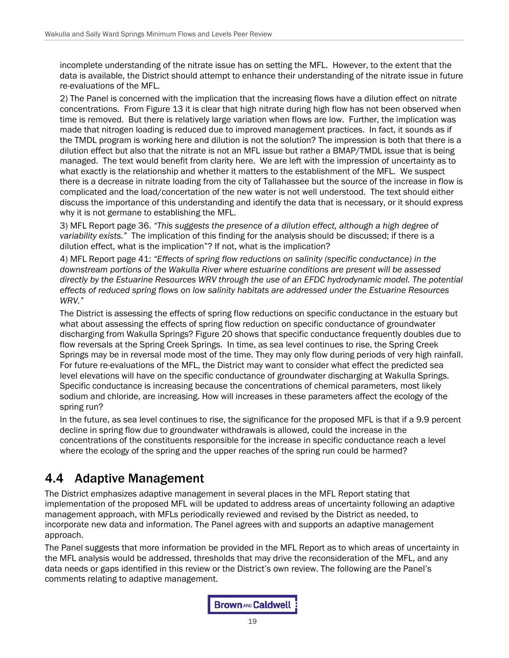incomplete understanding of the nitrate issue has on setting the MFL. However, to the extent that the data is available, the District should attempt to enhance their understanding of the nitrate issue in future re-evaluations of the MFL.

2) The Panel is concerned with the implication that the increasing flows have a dilution effect on nitrate concentrations. From Figure 13 it is clear that high nitrate during high flow has not been observed when time is removed. But there is relatively large variation when flows are low. Further, the implication was made that nitrogen loading is reduced due to improved management practices. In fact, it sounds as if the TMDL program is working here and dilution is not the solution? The impression is both that there is a dilution effect but also that the nitrate is not an MFL issue but rather a BMAP/TMDL issue that is being managed. The text would benefit from clarity here. We are left with the impression of uncertainty as to what exactly is the relationship and whether it matters to the establishment of the MFL. We suspect there is a decrease in nitrate loading from the city of Tallahassee but the source of the increase in flow is complicated and the load/concertation of the new water is not well understood. The text should either discuss the importance of this understanding and identify the data that is necessary, or it should express why it is not germane to establishing the MFL.

3) MFL Report page 36. *"This suggests the presence of a dilution effect, although a high degree of variability exists."* The implication of this finding for the analysis should be discussed; if there is a dilution effect, what is the implication"? If not, what is the implication?

4) MFL Report page 41: *"Effects of spring flow reductions on salinity (specific conductance) in the downstream portions of the Wakulla River where estuarine conditions are present will be assessed directly by the Estuarine Resources WRV through the use of an EFDC hydrodynamic model. The potential effects of reduced spring flows on low salinity habitats are addressed under the Estuarine Resources WRV."*

The District is assessing the effects of spring flow reductions on specific conductance in the estuary but what about assessing the effects of spring flow reduction on specific conductance of groundwater discharging from Wakulla Springs? Figure 20 shows that specific conductance frequently doubles due to flow reversals at the Spring Creek Springs. In time, as sea level continues to rise, the Spring Creek Springs may be in reversal mode most of the time. They may only flow during periods of very high rainfall. For future re-evaluations of the MFL, the District may want to consider what effect the predicted sea level elevations will have on the specific conductance of groundwater discharging at Wakulla Springs. Specific conductance is increasing because the concentrations of chemical parameters, most likely sodium and chloride, are increasing. How will increases in these parameters affect the ecology of the spring run?

In the future, as sea level continues to rise, the significance for the proposed MFL is that if a 9.9 percent decline in spring flow due to groundwater withdrawals is allowed, could the increase in the concentrations of the constituents responsible for the increase in specific conductance reach a level where the ecology of the spring and the upper reaches of the spring run could be harmed?

### <span id="page-24-0"></span>4.4 Adaptive Management

The District emphasizes adaptive management in several places in the MFL Report stating that implementation of the proposed MFL will be updated to address areas of uncertainty following an adaptive management approach, with MFLs periodically reviewed and revised by the District as needed, to incorporate new data and information. The Panel agrees with and supports an adaptive management approach.

The Panel suggests that more information be provided in the MFL Report as to which areas of uncertainty in the MFL analysis would be addressed, thresholds that may drive the reconsideration of the MFL, and any data needs or gaps identified in this review or the District's own review. The following are the Panel's comments relating to adaptive management.

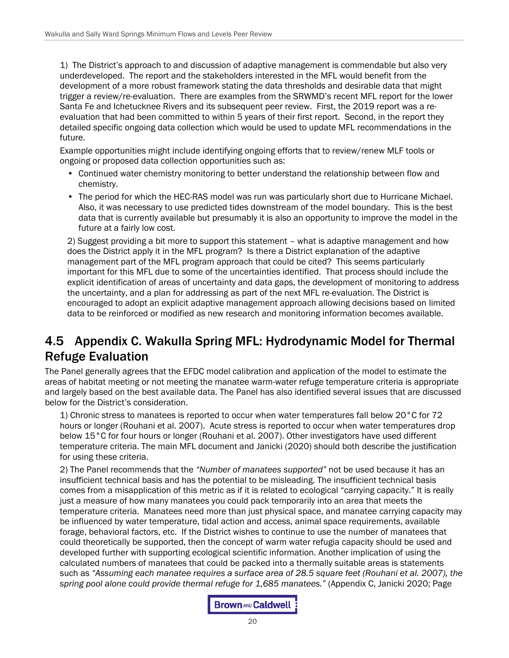1) The District's approach to and discussion of adaptive management is commendable but also very underdeveloped. The report and the stakeholders interested in the MFL would benefit from the development of a more robust framework stating the data thresholds and desirable data that might trigger a review/re-evaluation. There are examples from the SRWMD's recent MFL report for the lower Santa Fe and Ichetucknee Rivers and its subsequent peer review. First, the 2019 report was a reevaluation that had been committed to within 5 years of their first report. Second, in the report they detailed specific ongoing data collection which would be used to update MFL recommendations in the future.

Example opportunities might include identifying ongoing efforts that to review/renew MLF tools or ongoing or proposed data collection opportunities such as:

- Continued water chemistry monitoring to better understand the relationship between flow and chemistry.
- The period for which the HEC-RAS model was run was particularly short due to Hurricane Michael. Also, it was necessary to use predicted tides downstream of the model boundary. This is the best data that is currently available but presumably it is also an opportunity to improve the model in the future at a fairly low cost.

2) Suggest providing a bit more to support this statement – what is adaptive management and how does the District apply it in the MFL program? Is there a District explanation of the adaptive management part of the MFL program approach that could be cited? This seems particularly important for this MFL due to some of the uncertainties identified. That process should include the explicit identification of areas of uncertainty and data gaps, the development of monitoring to address the uncertainty, and a plan for addressing as part of the next MFL re-evaluation. The District is encouraged to adopt an explicit adaptive management approach allowing decisions based on limited data to be reinforced or modified as new research and monitoring information becomes available.

### <span id="page-25-0"></span>4.5 Appendix C. Wakulla Spring MFL: Hydrodynamic Model for Thermal Refuge Evaluation

The Panel generally agrees that the EFDC model calibration and application of the model to estimate the areas of habitat meeting or not meeting the manatee warm-water refuge temperature criteria is appropriate and largely based on the best available data. The Panel has also identified several issues that are discussed below for the District's consideration.

1) Chronic stress to manatees is reported to occur when water temperatures fall below 20°C for 72 hours or longer (Rouhani et al. 2007). Acute stress is reported to occur when water temperatures drop below 15°C for four hours or longer (Rouhani et al. 2007). Other investigators have used different temperature criteria. The main MFL document and Janicki (2020) should both describe the justification for using these criteria.

2) The Panel recommends that the *"Number of manatees supported"* not be used because it has an insufficient technical basis and has the potential to be misleading. The insufficient technical basis comes from a misapplication of this metric as if it is related to ecological "carrying capacity." It is really just a measure of how many manatees you could pack temporarily into an area that meets the temperature criteria. Manatees need more than just physical space, and manatee carrying capacity may be influenced by water temperature, tidal action and access, animal space requirements, available forage, behavioral factors, etc. If the District wishes to continue to use the number of manatees that could theoretically be supported, then the concept of warm water refugia capacity should be used and developed further with supporting ecological scientific information. Another implication of using the calculated numbers of manatees that could be packed into a thermally suitable areas is statements such as *"Assuming each manatee requires a surface area of 28.5 square feet (Rouhani et al. 2007), the spring pool alone could provide thermal refuge for 1,685 manatees."* (Appendix C, Janicki 2020; Page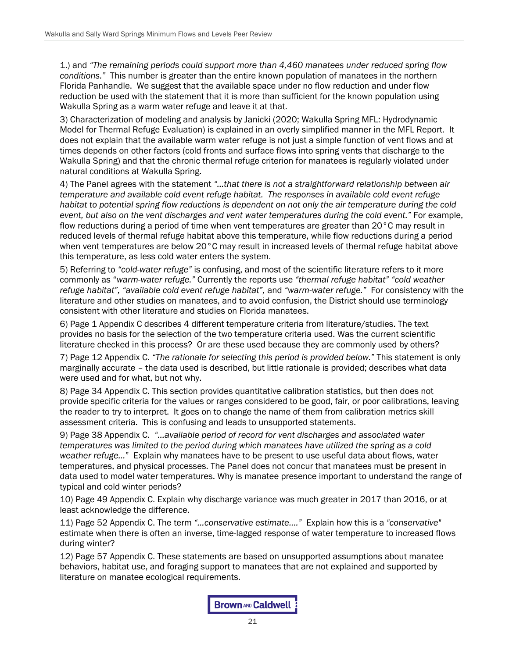1.) and *"The remaining periods could support more than 4,460 manatees under reduced spring flow conditions."* This number is greater than the entire known population of manatees in the northern Florida Panhandle. We suggest that the available space under no flow reduction and under flow reduction be used with the statement that it is more than sufficient for the known population using Wakulla Spring as a warm water refuge and leave it at that.

3) Characterization of modeling and analysis by Janicki (2020; Wakulla Spring MFL: Hydrodynamic Model for Thermal Refuge Evaluation) is explained in an overly simplified manner in the MFL Report. It does not explain that the available warm water refuge is not just a simple function of vent flows and at times depends on other factors (cold fronts and surface flows into spring vents that discharge to the Wakulla Spring) and that the chronic thermal refuge criterion for manatees is regularly violated under natural conditions at Wakulla Spring.

4) The Panel agrees with the statement *"…that there is not a straightforward relationship between air temperature and available cold event refuge habitat. The responses in available cold event refuge habitat to potential spring flow reductions is dependent on not only the air temperature during the cold event, but also on the vent discharges and vent water temperatures during the cold event."* For example, flow reductions during a period of time when vent temperatures are greater than 20°C may result in reduced levels of thermal refuge habitat above this temperature, while flow reductions during a period when vent temperatures are below 20°C may result in increased levels of thermal refuge habitat above this temperature, as less cold water enters the system.

5) Referring to *"cold-water refuge"* is confusing, and most of the scientific literature refers to it more commonly as "*warm-water refuge."* Currently the reports use *"thermal refuge habitat" "cold weather refuge habitat", "available cold event refuge habitat",* and *"warm-water refuge."* For consistency with the literature and other studies on manatees, and to avoid confusion, the District should use terminology consistent with other literature and studies on Florida manatees.

6) Page 1 Appendix C describes 4 different temperature criteria from literature/studies. The text provides no basis for the selection of the two temperature criteria used. Was the current scientific literature checked in this process? Or are these used because they are commonly used by others?

7) Page 12 Appendix C. *"The rationale for selecting this period is provided below."* This statement is only marginally accurate – the data used is described, but little rationale is provided; describes what data were used and for what, but not why.

8) Page 34 Appendix C. This section provides quantitative calibration statistics, but then does not provide specific criteria for the values or ranges considered to be good, fair, or poor calibrations, leaving the reader to try to interpret. It goes on to change the name of them from calibration metrics skill assessment criteria. This is confusing and leads to unsupported statements.

9) Page 38 Appendix C. *"…available period of record for vent discharges and associated water temperatures was limited to the period during which manatees have utilized the spring as a cold weather refuge…*" Explain why manatees have to be present to use useful data about flows, water temperatures, and physical processes. The Panel does not concur that manatees must be present in data used to model water temperatures. Why is manatee presence important to understand the range of typical and cold winter periods?

10) Page 49 Appendix C. Explain why discharge variance was much greater in 2017 than 2016, or at least acknowledge the difference.

11) Page 52 Appendix C. The term *"…conservative estimate…."* Explain how this is a *"conservative"* estimate when there is often an inverse, time-lagged response of water temperature to increased flows during winter?

12) Page 57 Appendix C. These statements are based on unsupported assumptions about manatee behaviors, habitat use, and foraging support to manatees that are not explained and supported by literature on manatee ecological requirements.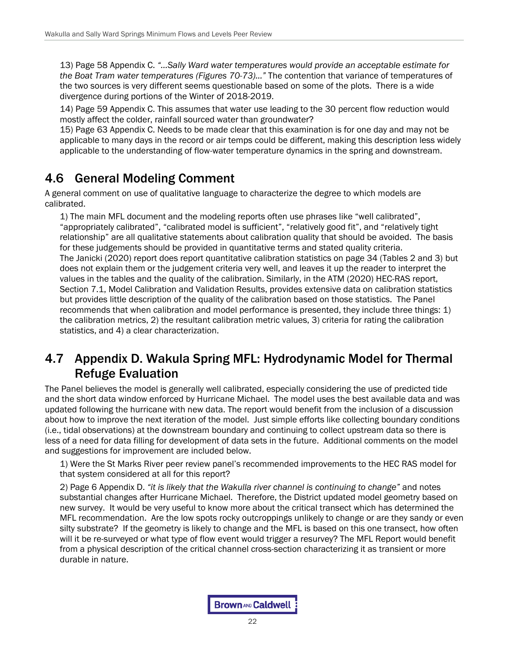13) Page 58 Appendix C. *"…Sally Ward water temperatures would provide an acceptable estimate for the Boat Tram water temperatures (Figures 70-73)…"* The contention that variance of temperatures of the two sources is very different seems questionable based on some of the plots. There is a wide divergence during portions of the Winter of 2018-2019.

14) Page 59 Appendix C. This assumes that water use leading to the 30 percent flow reduction would mostly affect the colder, rainfall sourced water than groundwater?

15) Page 63 Appendix C. Needs to be made clear that this examination is for one day and may not be applicable to many days in the record or air temps could be different, making this description less widely applicable to the understanding of flow-water temperature dynamics in the spring and downstream.

### <span id="page-27-0"></span>4.6 General Modeling Comment

A general comment on use of qualitative language to characterize the degree to which models are calibrated.

1) The main MFL document and the modeling reports often use phrases like "well calibrated", "appropriately calibrated", "calibrated model is sufficient", "relatively good fit", and "relatively tight relationship" are all qualitative statements about calibration quality that should be avoided. The basis for these judgements should be provided in quantitative terms and stated quality criteria. The Janicki (2020) report does report quantitative calibration statistics on page 34 (Tables 2 and 3) but does not explain them or the judgement criteria very well, and leaves it up the reader to interpret the values in the tables and the quality of the calibration. Similarly, in the ATM (2020) HEC-RAS report, Section 7.1, Model Calibration and Validation Results, provides extensive data on calibration statistics but provides little description of the quality of the calibration based on those statistics. The Panel recommends that when calibration and model performance is presented, they include three things: 1) the calibration metrics, 2) the resultant calibration metric values, 3) criteria for rating the calibration statistics, and 4) a clear characterization.

### <span id="page-27-1"></span>4.7 Appendix D. Wakula Spring MFL: Hydrodynamic Model for Thermal Refuge Evaluation

The Panel believes the model is generally well calibrated, especially considering the use of predicted tide and the short data window enforced by Hurricane Michael. The model uses the best available data and was updated following the hurricane with new data. The report would benefit from the inclusion of a discussion about how to improve the next iteration of the model. Just simple efforts like collecting boundary conditions (i.e., tidal observations) at the downstream boundary and continuing to collect upstream data so there is less of a need for data filling for development of data sets in the future. Additional comments on the model and suggestions for improvement are included below.

1) Were the St Marks River peer review panel's recommended improvements to the HEC RAS model for that system considered at all for this report?

2) Page 6 Appendix D. *"it is likely that the Wakulla river channel is continuing to change"* and notes substantial changes after Hurricane Michael. Therefore, the District updated model geometry based on new survey. It would be very useful to know more about the critical transect which has determined the MFL recommendation. Are the low spots rocky outcroppings unlikely to change or are they sandy or even silty substrate? If the geometry is likely to change and the MFL is based on this one transect, how often will it be re-surveyed or what type of flow event would trigger a resurvey? The MFL Report would benefit from a physical description of the critical channel cross-section characterizing it as transient or more durable in nature.

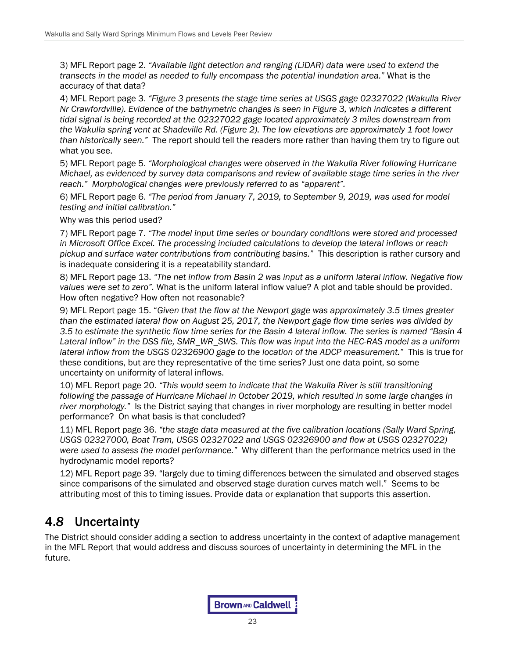3) MFL Report page 2. *"Available light detection and ranging (LiDAR) data were used to extend the transects in the model as needed to fully encompass the potential inundation area."* What is the accuracy of that data?

4) MFL Report page 3. *"Figure 3 presents the stage time series at USGS gage 02327022 (Wakulla River Nr Crawfordville). Evidence of the bathymetric changes is seen in Figure 3, which indicates a different tidal signal is being recorded at the 02327022 gage located approximately 3 miles downstream from the Wakulla spring vent at Shadeville Rd. (Figure 2). The low elevations are approximately 1 foot lower than historically seen."* The report should tell the readers more rather than having them try to figure out what you see.

5) MFL Report page 5. *"Morphological changes were observed in the Wakulla River following Hurricane Michael, as evidenced by survey data comparisons and review of available stage time series in the river reach." Morphological changes were previously referred to as "apparent".*

6) MFL Report page 6. *"The period from January 7, 2019, to September 9, 2019, was used for model testing and initial calibration."*

Why was this period used?

7) MFL Report page 7. *"The model input time series or boundary conditions were stored and processed in Microsoft Office Excel. The processing included calculations to develop the lateral inflows or reach pickup and surface water contributions from contributing basins."* This description is rather cursory and is inadequate considering it is a repeatability standard.

8) MFL Report page 13. *"The net inflow from Basin 2 was input as a uniform lateral inflow. Negative flow values were set to zero".* What is the uniform lateral inflow value? A plot and table should be provided. How often negative? How often not reasonable?

9) MFL Report page 15. "*Given that the flow at the Newport gage was approximately 3.5 times greater than the estimated lateral flow on August 25, 2017, the Newport gage flow time series was divided by 3.5 to estimate the synthetic flow time series for the Basin 4 lateral inflow. The series is named "Basin 4 Lateral Inflow" in the DSS file, SMR\_WR\_SWS. This flow was input into the HEC-RAS model as a uniform lateral inflow from the USGS 02326900 gage to the location of the ADCP measurement."* This is true for these conditions, but are they representative of the time series? Just one data point, so some uncertainty on uniformity of lateral inflows.

10) MFL Report page 20. *"This would seem to indicate that the Wakulla River is still transitioning following the passage of Hurricane Michael in October 2019, which resulted in some large changes in river morphology."* Is the District saying that changes in river morphology are resulting in better model performance? On what basis is that concluded?

11) MFL Report page 36. *"the stage data measured at the five calibration locations (Sally Ward Spring, USGS 02327000, Boat Tram, USGS 02327022 and USGS 02326900 and flow at USGS 02327022) were used to assess the model performance."* Why different than the performance metrics used in the hydrodynamic model reports?

12) MFL Report page 39. "largely due to timing differences between the simulated and observed stages since comparisons of the simulated and observed stage duration curves match well." Seems to be attributing most of this to timing issues. Provide data or explanation that supports this assertion.

### <span id="page-28-0"></span>4.*8* Uncertainty

The District should consider adding a section to address uncertainty in the context of adaptive management in the MFL Report that would address and discuss sources of uncertainty in determining the MFL in the future.

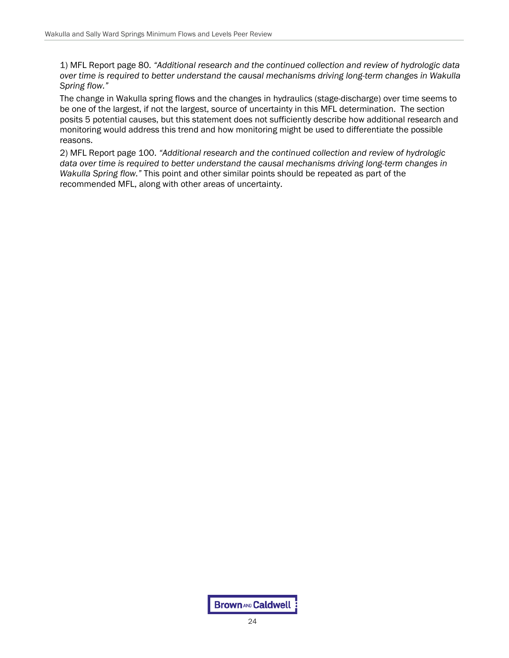1) MFL Report page 80. *"Additional research and the continued collection and review of hydrologic data over time is required to better understand the causal mechanisms driving long-term changes in Wakulla Spring flow."*

The change in Wakulla spring flows and the changes in hydraulics (stage-discharge) over time seems to be one of the largest, if not the largest, source of uncertainty in this MFL determination. The section posits 5 potential causes, but this statement does not sufficiently describe how additional research and monitoring would address this trend and how monitoring might be used to differentiate the possible reasons.

2) MFL Report page 100. *"Additional research and the continued collection and review of hydrologic data over time is required to better understand the causal mechanisms driving long-term changes in Wakulla Spring flow."* This point and other similar points should be repeated as part of the recommended MFL, along with other areas of uncertainty.

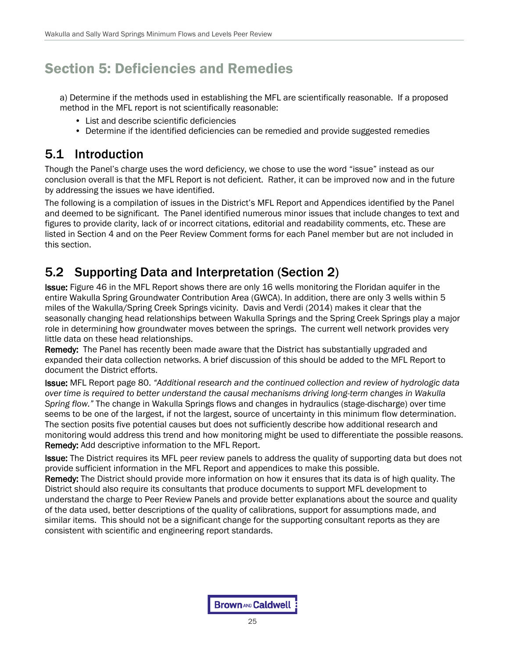# <span id="page-30-0"></span>Section 5: Deficiencies and Remedies

a) Determine if the methods used in establishing the MFL are scientifically reasonable. If a proposed method in the MFL report is not scientifically reasonable:

- List and describe scientific deficiencies
- Determine if the identified deficiencies can be remedied and provide suggested remedies

### <span id="page-30-1"></span>5.1 Introduction

Though the Panel's charge uses the word deficiency, we chose to use the word "issue" instead as our conclusion overall is that the MFL Report is not deficient. Rather, it can be improved now and in the future by addressing the issues we have identified.

The following is a compilation of issues in the District's MFL Report and Appendices identified by the Panel and deemed to be significant. The Panel identified numerous minor issues that include changes to text and figures to provide clarity, lack of or incorrect citations, editorial and readability comments, etc. These are listed in Section 4 and on the Peer Review Comment forms for each Panel member but are not included in this section.

### <span id="page-30-2"></span>5.2 Supporting Data and Interpretation (Section 2)

Issue: Figure 46 in the MFL Report shows there are only 16 wells monitoring the Floridan aquifer in the entire Wakulla Spring Groundwater Contribution Area (GWCA). In addition, there are only 3 wells within 5 miles of the Wakulla/Spring Creek Springs vicinity. Davis and Verdi (2014) makes it clear that the seasonally changing head relationships between Wakulla Springs and the Spring Creek Springs play a major role in determining how groundwater moves between the springs. The current well network provides very little data on these head relationships.

Remedy: The Panel has recently been made aware that the District has substantially upgraded and expanded their data collection networks. A brief discussion of this should be added to the MFL Report to document the District efforts.

Issue: MFL Report page 80. *"Additional research and the continued collection and review of hydrologic data over time is required to better understand the causal mechanisms driving long-term changes in Wakulla Spring flow."* The change in Wakulla Springs flows and changes in hydraulics (stage-discharge) over time seems to be one of the largest, if not the largest, source of uncertainty in this minimum flow determination. The section posits five potential causes but does not sufficiently describe how additional research and monitoring would address this trend and how monitoring might be used to differentiate the possible reasons. Remedy: Add descriptive information to the MFL Report.

Issue: The District requires its MFL peer review panels to address the quality of supporting data but does not provide sufficient information in the MFL Report and appendices to make this possible.

Remedy: The District should provide more information on how it ensures that its data is of high quality. The District should also require its consultants that produce documents to support MFL development to understand the charge to Peer Review Panels and provide better explanations about the source and quality of the data used, better descriptions of the quality of calibrations, support for assumptions made, and similar items. This should not be a significant change for the supporting consultant reports as they are consistent with scientific and engineering report standards.

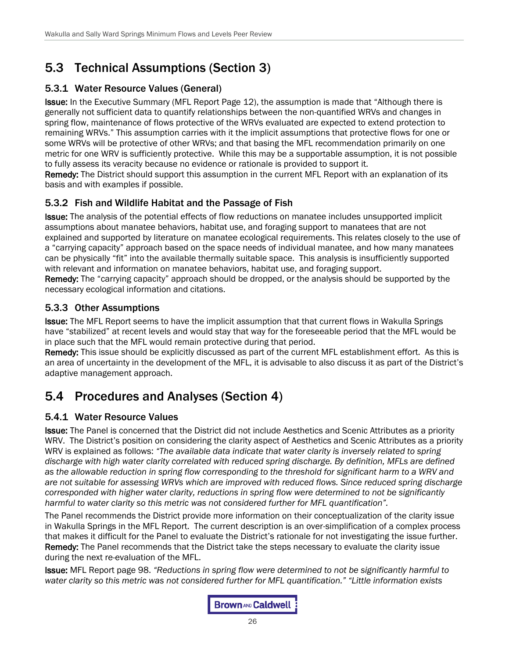## <span id="page-31-0"></span>5.3 Technical Assumptions (Section 3)

#### <span id="page-31-1"></span>5.3.1 Water Resource Values (General)

Issue: In the Executive Summary (MFL Report Page 12), the assumption is made that "Although there is generally not sufficient data to quantify relationships between the non-quantified WRVs and changes in spring flow, maintenance of flows protective of the WRVs evaluated are expected to extend protection to remaining WRVs." This assumption carries with it the implicit assumptions that protective flows for one or some WRVs will be protective of other WRVs; and that basing the MFL recommendation primarily on one metric for one WRV is sufficiently protective. While this may be a supportable assumption, it is not possible to fully assess its veracity because no evidence or rationale is provided to support it.

Remedy: The District should support this assumption in the current MFL Report with an explanation of its basis and with examples if possible.

### <span id="page-31-2"></span>5.3.2 Fish and Wildlife Habitat and the Passage of Fish

Issue: The analysis of the potential effects of flow reductions on manatee includes unsupported implicit assumptions about manatee behaviors, habitat use, and foraging support to manatees that are not explained and supported by literature on manatee ecological requirements. This relates closely to the use of a "carrying capacity" approach based on the space needs of individual manatee, and how many manatees can be physically "fit" into the available thermally suitable space. This analysis is insufficiently supported with relevant and information on manatee behaviors, habitat use, and foraging support.

Remedy: The "carrying capacity" approach should be dropped, or the analysis should be supported by the necessary ecological information and citations.

#### <span id="page-31-3"></span>5.3.3 Other Assumptions

Issue: The MFL Report seems to have the implicit assumption that that current flows in Wakulla Springs have "stabilized" at recent levels and would stay that way for the foreseeable period that the MFL would be in place such that the MFL would remain protective during that period.

Remedy: This issue should be explicitly discussed as part of the current MFL establishment effort. As this is an area of uncertainty in the development of the MFL, it is advisable to also discuss it as part of the District's adaptive management approach.

### <span id="page-31-4"></span>5.4 Procedures and Analyses (Section 4)

#### <span id="page-31-5"></span>5.4.1 Water Resource Values

Issue: The Panel is concerned that the District did not include Aesthetics and Scenic Attributes as a priority WRV. The District's position on considering the clarity aspect of Aesthetics and Scenic Attributes as a priority WRV is explained as follows: *"The available data indicate that water clarity is inversely related to spring discharge with high water clarity correlated with reduced spring discharge. By definition, MFLs are defined as the allowable reduction in spring flow corresponding to the threshold for significant harm to a WRV and are not suitable for assessing WRVs which are improved with reduced flows. Since reduced spring discharge corresponded with higher water clarity, reductions in spring flow were determined to not be significantly harmful to water clarity so this metric was not considered further for MFL quantification".*

The Panel recommends the District provide more information on their conceptualization of the clarity issue in Wakulla Springs in the MFL Report. The current description is an over-simplification of a complex process that makes it difficult for the Panel to evaluate the District's rationale for not investigating the issue further. Remedy: The Panel recommends that the District take the steps necessary to evaluate the clarity issue during the next re-evaluation of the MFL.

Issue: MFL Report page 98. *"Reductions in spring flow were determined to not be significantly harmful to water clarity so this metric was not considered further for MFL quantification." "Little information exists*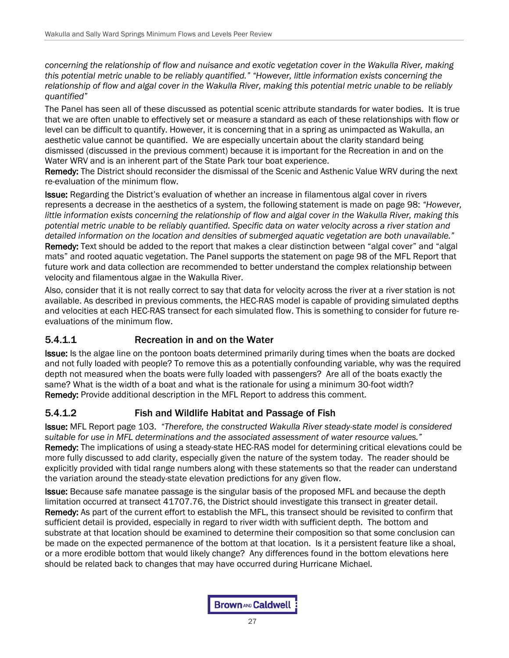*concerning the relationship of flow and nuisance and exotic vegetation cover in the Wakulla River, making this potential metric unable to be reliably quantified." "However, little information exists concerning the relationship of flow and algal cover in the Wakulla River, making this potential metric unable to be reliably quantified"*

The Panel has seen all of these discussed as potential scenic attribute standards for water bodies. It is true that we are often unable to effectively set or measure a standard as each of these relationships with flow or level can be difficult to quantify. However, it is concerning that in a spring as unimpacted as Wakulla, an aesthetic value cannot be quantified. We are especially uncertain about the clarity standard being dismissed (discussed in the previous comment) because it is important for the Recreation in and on the Water WRV and is an inherent part of the State Park tour boat experience.

Remedy: The District should reconsider the dismissal of the Scenic and Asthenic Value WRV during the next re-evaluation of the minimum flow.

Issue: Regarding the District's evaluation of whether an increase in filamentous algal cover in rivers represents a decrease in the aesthetics of a system, the following statement is made on page 98: *"However,*  little information exists concerning the relationship of flow and algal cover in the Wakulla River, making this *potential metric unable to be reliably quantified. Specific data on water velocity across a river station and detailed information on the location and densities of submerged aquatic vegetation are both unavailable."* Remedy: Text should be added to the report that makes a clear distinction between "algal cover" and "algal mats" and rooted aquatic vegetation. The Panel supports the statement on page 98 of the MFL Report that future work and data collection are recommended to better understand the complex relationship between velocity and filamentous algae in the Wakulla River.

Also, consider that it is not really correct to say that data for velocity across the river at a river station is not available. As described in previous comments, the HEC-RAS model is capable of providing simulated depths and velocities at each HEC-RAS transect for each simulated flow. This is something to consider for future reevaluations of the minimum flow.

#### <span id="page-32-0"></span>5.4.1.1 Recreation in and on the Water

Issue: Is the algae line on the pontoon boats determined primarily during times when the boats are docked and not fully loaded with people? To remove this as a potentially confounding variable, why was the required depth not measured when the boats were fully loaded with passengers? Are all of the boats exactly the same? What is the width of a boat and what is the rationale for using a minimum 30-foot width? Remedy: Provide additional description in the MFL Report to address this comment.

#### <span id="page-32-1"></span>5.4.1.2 Fish and Wildlife Habitat and Passage of Fish

Issue: MFL Report page 103. *"Therefore, the constructed Wakulla River steady-state model is considered suitable for use in MFL determinations and the associated assessment of water resource values."* Remedy: The implications of using a steady-state HEC-RAS model for determining critical elevations could be more fully discussed to add clarity, especially given the nature of the system today. The reader should be explicitly provided with tidal range numbers along with these statements so that the reader can understand the variation around the steady-state elevation predictions for any given flow.

Issue: Because safe manatee passage is the singular basis of the proposed MFL and because the depth limitation occurred at transect 41707.76, the District should investigate this transect in greater detail. Remedy: As part of the current effort to establish the MFL, this transect should be revisited to confirm that sufficient detail is provided, especially in regard to river width with sufficient depth. The bottom and substrate at that location should be examined to determine their composition so that some conclusion can be made on the expected permanence of the bottom at that location. Is it a persistent feature like a shoal, or a more erodible bottom that would likely change? Any differences found in the bottom elevations here should be related back to changes that may have occurred during Hurricane Michael.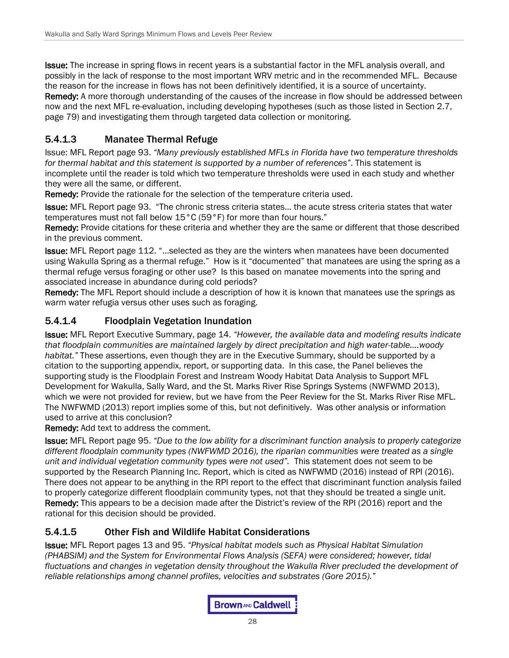Issue: The increase in spring flows in recent years is a substantial factor in the MFL analysis overall, and possibly in the lack of response to the most important WRV metric and in the recommended MFL. Because the reason for the increase in flows has not been definitively identified, it is a source of uncertainty. Remedy: A more thorough understanding of the causes of the increase in flow should be addressed between now and the next MFL re-evaluation, including developing hypotheses (such as those listed in Section 2.7, page 79) and investigating them through targeted data collection or monitoring.

### <span id="page-33-0"></span>5.4.1.3 Manatee Thermal Refuge

Issue: MFL Report page 93. *"Many previously established MFLs in Florida have two temperature thresholds for thermal habitat and this statement is supported by a number of references"*. This statement is incomplete until the reader is told which two temperature thresholds were used in each study and whether they were all the same, or different.

Remedy: Provide the rationale for the selection of the temperature criteria used.

Issue: MFL Report page 93. "The chronic stress criteria states… the acute stress criteria states that water temperatures must not fall below 15°C (59°F) for more than four hours."

Remedy: Provide citations for these criteria and whether they are the same or different that those described in the previous comment.

Issue: MFL Report page 112. "…selected as they are the winters when manatees have been documented using Wakulla Spring as a thermal refuge." How is it "documented" that manatees are using the spring as a thermal refuge versus foraging or other use? Is this based on manatee movements into the spring and associated increase in abundance during cold periods?

Remedy: The MFL Report should include a description of how it is known that manatees use the springs as warm water refugia versus other uses such as foraging.

### <span id="page-33-1"></span>5.4.1.4 Floodplain Vegetation Inundation

Issue: MFL Report Executive Summary, page 14. *"However, the available data and modeling results indicate that floodplain communities are maintained largely by direct precipitation and high water-table….woody habitat."* These assertions, even though they are in the Executive Summary, should be supported by a citation to the supporting appendix, report, or supporting data. In this case, the Panel believes the supporting study is the Floodplain Forest and Instream Woody Habitat Data Analysis to Support MFL Development for Wakulla, Sally Ward, and the St. Marks River Rise Springs Systems (NWFWMD 2013), which we were not provided for review, but we have from the Peer Review for the St. Marks River Rise MFL. The NWFWMD (2013) report implies some of this, but not definitively. Was other analysis or information used to arrive at this conclusion?

Remedy: Add text to address the comment.

Issue: MFL Report page 95. *"Due to the low ability for a discriminant function analysis to properly categorize different floodplain community types (NWFWMD 2016), the riparian communities were treated as a single unit and individual vegetation community types were not used".* This statement does not seem to be supported by the Research Planning Inc. Report, which is cited as NWFWMD (2016) instead of RPI (2016). There does not appear to be anything in the RPI report to the effect that discriminant function analysis failed to properly categorize different floodplain community types, not that they should be treated a single unit. Remedy: This appears to be a decision made after the District's review of the RPI (2016) report and the rational for this decision should be provided.

#### <span id="page-33-2"></span>5.4.1.5 Other Fish and Wildlife Habitat Considerations

Issue: MFL Report pages 13 and 95. *"Physical habitat models such as Physical Habitat Simulation (PHABSIM) and the System for Environmental Flows Analysis (SEFA) were considered; however, tidal fluctuations and changes in vegetation density throughout the Wakulla River precluded the development of reliable relationships among channel profiles, velocities and substrates (Gore 2015)."*

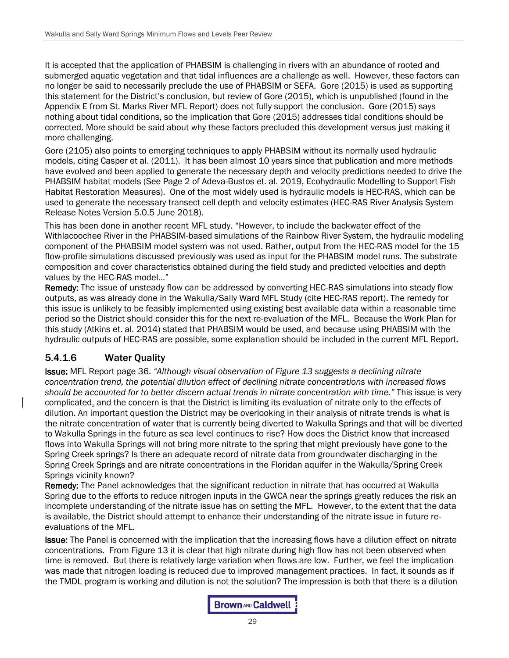It is accepted that the application of PHABSIM is challenging in rivers with an abundance of rooted and submerged aquatic vegetation and that tidal influences are a challenge as well. However, these factors can no longer be said to necessarily preclude the use of PHABSIM or SEFA. Gore (2015) is used as supporting this statement for the District's conclusion, but review of Gore (2015), which is unpublished (found in the Appendix E from St. Marks River MFL Report) does not fully support the conclusion. Gore (2015) says nothing about tidal conditions, so the implication that Gore (2015) addresses tidal conditions should be corrected. More should be said about why these factors precluded this development versus just making it more challenging.

Gore (2105) also points to emerging techniques to apply PHABSIM without its normally used hydraulic models, citing Casper et al. (2011). It has been almost 10 years since that publication and more methods have evolved and been applied to generate the necessary depth and velocity predictions needed to drive the PHABSIM habitat models (See Page 2 of Adeva-Bustos et. al. 2019, Ecohydraulic Modelling to Support Fish Habitat Restoration Measures). One of the most widely used is hydraulic models is HEC-RAS, which can be used to generate the necessary transect cell depth and velocity estimates (HEC-RAS River Analysis System Release Notes Version 5.0.5 June 2018).

This has been done in another recent MFL study. "However, to include the backwater effect of the Withlacoochee River in the PHABSIM-based simulations of the Rainbow River System, the hydraulic modeling component of the PHABSIM model system was not used. Rather, output from the HEC-RAS model for the 15 flow-profile simulations discussed previously was used as input for the PHABSIM model runs. The substrate composition and cover characteristics obtained during the field study and predicted velocities and depth values by the HEC-RAS model…"

Remedy: The issue of unsteady flow can be addressed by converting HEC-RAS simulations into steady flow outputs, as was already done in the Wakulla/Sally Ward MFL Study (cite HEC-RAS report). The remedy for this issue is unlikely to be feasibly implemented using existing best available data within a reasonable time period so the District should consider this for the next re-evaluation of the MFL. Because the Work Plan for this study (Atkins et. al. 2014) stated that PHABSIM would be used, and because using PHABSIM with the hydraulic outputs of HEC-RAS are possible, some explanation should be included in the current MFL Report.

#### <span id="page-34-0"></span>5.4.1.6 Water Quality

Issue: MFL Report page 36. *"Although visual observation of Figure 13 suggests a declining nitrate concentration trend, the potential dilution effect of declining nitrate concentrations with increased flows should be accounted for to better discern actual trends in nitrate concentration with time."* This issue is very complicated, and the concern is that the District is limiting its evaluation of nitrate only to the effects of dilution. An important question the District may be overlooking in their analysis of nitrate trends is what is the nitrate concentration of water that is currently being diverted to Wakulla Springs and that will be diverted to Wakulla Springs in the future as sea level continues to rise? How does the District know that increased flows into Wakulla Springs will not bring more nitrate to the spring that might previously have gone to the Spring Creek springs? Is there an adequate record of nitrate data from groundwater discharging in the Spring Creek Springs and are nitrate concentrations in the Floridan aquifer in the Wakulla/Spring Creek Springs vicinity known?

Remedy: The Panel acknowledges that the significant reduction in nitrate that has occurred at Wakulla Spring due to the efforts to reduce nitrogen inputs in the GWCA near the springs greatly reduces the risk an incomplete understanding of the nitrate issue has on setting the MFL. However, to the extent that the data is available, the District should attempt to enhance their understanding of the nitrate issue in future reevaluations of the MFL.

Issue: The Panel is concerned with the implication that the increasing flows have a dilution effect on nitrate concentrations. From Figure 13 it is clear that high nitrate during high flow has not been observed when time is removed. But there is relatively large variation when flows are low. Further, we feel the implication was made that nitrogen loading is reduced due to improved management practices. In fact, it sounds as if the TMDL program is working and dilution is not the solution? The impression is both that there is a dilution

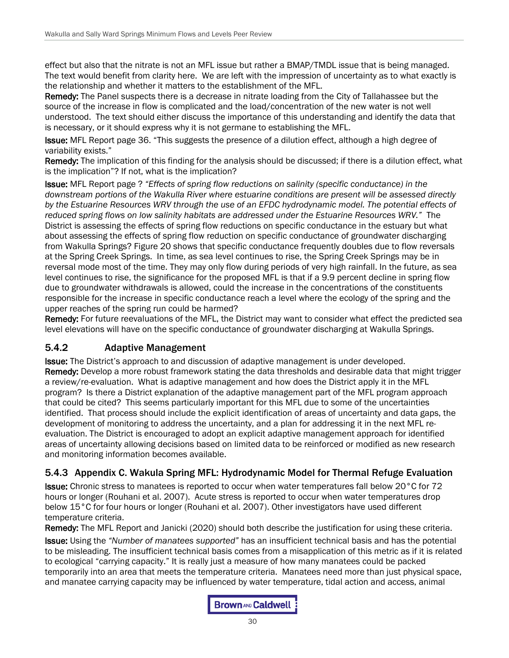effect but also that the nitrate is not an MFL issue but rather a BMAP/TMDL issue that is being managed. The text would benefit from clarity here. We are left with the impression of uncertainty as to what exactly is the relationship and whether it matters to the establishment of the MFL.

Remedy: The Panel suspects there is a decrease in nitrate loading from the City of Tallahassee but the source of the increase in flow is complicated and the load/concentration of the new water is not well understood. The text should either discuss the importance of this understanding and identify the data that is necessary, or it should express why it is not germane to establishing the MFL.

Issue: MFL Report page 36. "This suggests the presence of a dilution effect, although a high degree of variability exists."

Remedy: The implication of this finding for the analysis should be discussed; if there is a dilution effect, what is the implication"? If not, what is the implication?

Issue: MFL Report page ? *"Effects of spring flow reductions on salinity (specific conductance) in the downstream portions of the Wakulla River where estuarine conditions are present will be assessed directly by the Estuarine Resources WRV through the use of an EFDC hydrodynamic model. The potential effects of reduced spring flows on low salinity habitats are addressed under the Estuarine Resources WRV."* The District is assessing the effects of spring flow reductions on specific conductance in the estuary but what about assessing the effects of spring flow reduction on specific conductance of groundwater discharging from Wakulla Springs? Figure 20 shows that specific conductance frequently doubles due to flow reversals at the Spring Creek Springs. In time, as sea level continues to rise, the Spring Creek Springs may be in reversal mode most of the time. They may only flow during periods of very high rainfall. In the future, as sea level continues to rise, the significance for the proposed MFL is that if a 9.9 percent decline in spring flow due to groundwater withdrawals is allowed, could the increase in the concentrations of the constituents responsible for the increase in specific conductance reach a level where the ecology of the spring and the upper reaches of the spring run could be harmed?

Remedy: For future reevaluations of the MFL, the District may want to consider what effect the predicted sea level elevations will have on the specific conductance of groundwater discharging at Wakulla Springs.

#### <span id="page-35-0"></span>5.4.2 Adaptive Management

Issue: The District's approach to and discussion of adaptive management is under developed. Remedy: Develop a more robust framework stating the data thresholds and desirable data that might trigger a review/re-evaluation. What is adaptive management and how does the District apply it in the MFL program? Is there a District explanation of the adaptive management part of the MFL program approach that could be cited? This seems particularly important for this MFL due to some of the uncertainties identified. That process should include the explicit identification of areas of uncertainty and data gaps, the development of monitoring to address the uncertainty, and a plan for addressing it in the next MFL reevaluation. The District is encouraged to adopt an explicit adaptive management approach for identified areas of uncertainty allowing decisions based on limited data to be reinforced or modified as new research and monitoring information becomes available.

#### <span id="page-35-1"></span>5.4.3 Appendix C. Wakula Spring MFL: Hydrodynamic Model for Thermal Refuge Evaluation

Issue: Chronic stress to manatees is reported to occur when water temperatures fall below 20°C for 72 hours or longer (Rouhani et al. 2007). Acute stress is reported to occur when water temperatures drop below 15°C for four hours or longer (Rouhani et al. 2007). Other investigators have used different temperature criteria.

Remedy: The MFL Report and Janicki (2020) should both describe the justification for using these criteria.

Issue: Using the *"Number of manatees supported"* has an insufficient technical basis and has the potential to be misleading. The insufficient technical basis comes from a misapplication of this metric as if it is related to ecological "carrying capacity." It is really just a measure of how many manatees could be packed temporarily into an area that meets the temperature criteria. Manatees need more than just physical space, and manatee carrying capacity may be influenced by water temperature, tidal action and access, animal

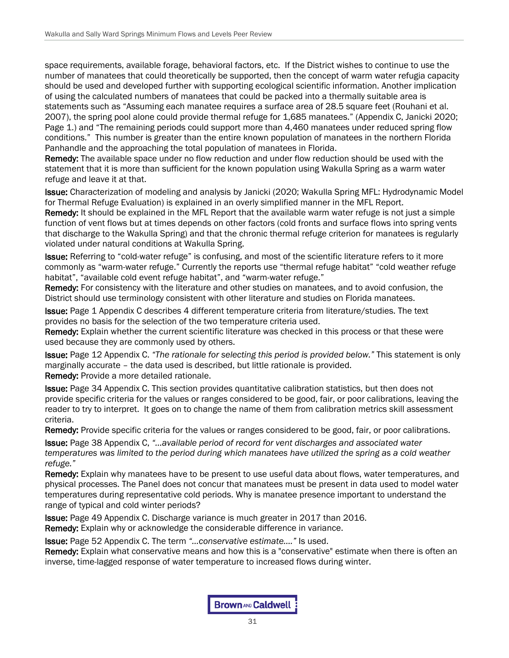space requirements, available forage, behavioral factors, etc. If the District wishes to continue to use the number of manatees that could theoretically be supported, then the concept of warm water refugia capacity should be used and developed further with supporting ecological scientific information. Another implication of using the calculated numbers of manatees that could be packed into a thermally suitable area is statements such as "Assuming each manatee requires a surface area of 28.5 square feet (Rouhani et al. 2007), the spring pool alone could provide thermal refuge for 1,685 manatees." (Appendix C, Janicki 2020; Page 1.) and "The remaining periods could support more than 4,460 manatees under reduced spring flow conditions." This number is greater than the entire known population of manatees in the northern Florida Panhandle and the approaching the total population of manatees in Florida.

Remedy: The available space under no flow reduction and under flow reduction should be used with the statement that it is more than sufficient for the known population using Wakulla Spring as a warm water refuge and leave it at that.

Issue: Characterization of modeling and analysis by Janicki (2020; Wakulla Spring MFL: Hydrodynamic Model for Thermal Refuge Evaluation) is explained in an overly simplified manner in the MFL Report.

Remedy: It should be explained in the MFL Report that the available warm water refuge is not just a simple function of vent flows but at times depends on other factors (cold fronts and surface flows into spring vents that discharge to the Wakulla Spring) and that the chronic thermal refuge criterion for manatees is regularly violated under natural conditions at Wakulla Spring.

Issue: Referring to "cold-water refuge" is confusing, and most of the scientific literature refers to it more commonly as "warm-water refuge." Currently the reports use "thermal refuge habitat" "cold weather refuge habitat", "available cold event refuge habitat", and "warm-water refuge."

Remedy: For consistency with the literature and other studies on manatees, and to avoid confusion, the District should use terminology consistent with other literature and studies on Florida manatees.

Issue: Page 1 Appendix C describes 4 different temperature criteria from literature/studies. The text provides no basis for the selection of the two temperature criteria used.

Remedy: Explain whether the current scientific literature was checked in this process or that these were used because they are commonly used by others.

Issue: Page 12 Appendix C. *"The rationale for selecting this period is provided below."* This statement is only marginally accurate – the data used is described, but little rationale is provided. Remedy: Provide a more detailed rationale.

Issue: Page 34 Appendix C. This section provides quantitative calibration statistics, but then does not provide specific criteria for the values or ranges considered to be good, fair, or poor calibrations, leaving the reader to try to interpret. It goes on to change the name of them from calibration metrics skill assessment criteria.

Remedy: Provide specific criteria for the values or ranges considered to be good, fair, or poor calibrations.

Issue: Page 38 Appendix C, *"…available period of record for vent discharges and associated water temperatures was limited to the period during which manatees have utilized the spring as a cold weather refuge."*

Remedy: Explain why manatees have to be present to use useful data about flows, water temperatures, and physical processes. The Panel does not concur that manatees must be present in data used to model water temperatures during representative cold periods. Why is manatee presence important to understand the range of typical and cold winter periods?

Issue: Page 49 Appendix C. Discharge variance is much greater in 2017 than 2016.

Remedy: Explain why or acknowledge the considerable difference in variance.

Issue: Page 52 Appendix C. The term *"…conservative estimate…."* Is used.

Remedy: Explain what conservative means and how this is a "conservative" estimate when there is often an inverse, time-lagged response of water temperature to increased flows during winter.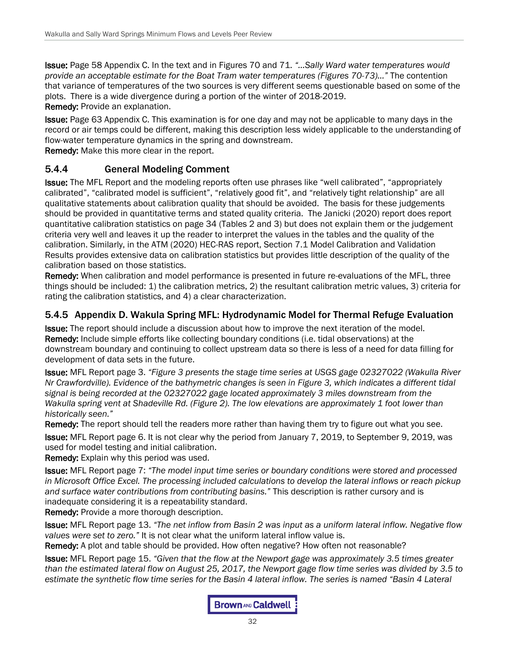Issue: Page 58 Appendix C. In the text and in Figures 70 and 71. *"…Sally Ward water temperatures would provide an acceptable estimate for the Boat Tram water temperatures (Figures 70-73)…"* The contention that variance of temperatures of the two sources is very different seems questionable based on some of the plots. There is a wide divergence during a portion of the winter of 2018-2019.

Remedy: Provide an explanation.

Issue: Page 63 Appendix C. This examination is for one day and may not be applicable to many days in the record or air temps could be different, making this description less widely applicable to the understanding of flow-water temperature dynamics in the spring and downstream.

Remedy: Make this more clear in the report.

#### <span id="page-37-0"></span>5.4.4 General Modeling Comment

Issue: The MFL Report and the modeling reports often use phrases like "well calibrated", "appropriately calibrated", "calibrated model is sufficient", "relatively good fit", and "relatively tight relationship" are all qualitative statements about calibration quality that should be avoided. The basis for these judgements should be provided in quantitative terms and stated quality criteria. The Janicki (2020) report does report quantitative calibration statistics on page 34 (Tables 2 and 3) but does not explain them or the judgement criteria very well and leaves it up the reader to interpret the values in the tables and the quality of the calibration. Similarly, in the ATM (2020) HEC-RAS report, Section 7.1 Model Calibration and Validation Results provides extensive data on calibration statistics but provides little description of the quality of the calibration based on those statistics.

Remedy: When calibration and model performance is presented in future re-evaluations of the MFL, three things should be included: 1) the calibration metrics, 2) the resultant calibration metric values, 3) criteria for rating the calibration statistics, and 4) a clear characterization.

#### <span id="page-37-1"></span>5.4.5 Appendix D. Wakula Spring MFL: Hydrodynamic Model for Thermal Refuge Evaluation

Issue: The report should include a discussion about how to improve the next iteration of the model. Remedy: Include simple efforts like collecting boundary conditions (i.e. tidal observations) at the downstream boundary and continuing to collect upstream data so there is less of a need for data filling for development of data sets in the future.

Issue: MFL Report page 3. *"Figure 3 presents the stage time series at USGS gage 02327022 (Wakulla River Nr Crawfordville). Evidence of the bathymetric changes is seen in Figure 3, which indicates a different tidal signal is being recorded at the 02327022 gage located approximately 3 miles downstream from the Wakulla spring vent at Shadeville Rd. (Figure 2). The low elevations are approximately 1 foot lower than historically seen."* 

Remedy: The report should tell the readers more rather than having them try to figure out what you see.

Issue: MFL Report page 6. It is not clear why the period from January 7, 2019, to September 9, 2019, was used for model testing and initial calibration.

Remedy: Explain why this period was used.

Issue: MFL Report page 7: *"The model input time series or boundary conditions were stored and processed in Microsoft Office Excel. The processing included calculations to develop the lateral inflows or reach pickup and surface water contributions from contributing basins."* This description is rather cursory and is inadequate considering it is a repeatability standard.

Remedy: Provide a more thorough description.

Issue: MFL Report page 13. *"The net inflow from Basin 2 was input as a uniform lateral inflow. Negative flow values were set to zero."* It is not clear what the uniform lateral inflow value is.

Remedy: A plot and table should be provided. How often negative? How often not reasonable?

Issue: MFL Report page 15. *"Given that the flow at the Newport gage was approximately 3.5 times greater than the estimated lateral flow on August 25, 2017, the Newport gage flow time series was divided by 3.5 to estimate the synthetic flow time series for the Basin 4 lateral inflow. The series is named "Basin 4 Lateral*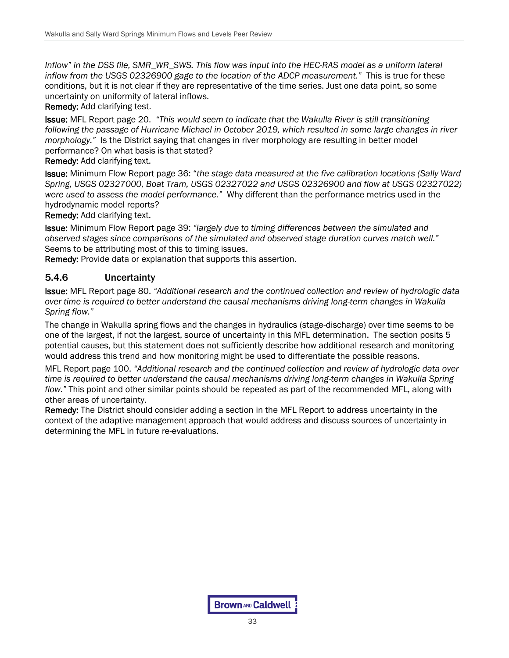*Inflow" in the DSS file, SMR\_WR\_SWS. This flow was input into the HEC-RAS model as a uniform lateral inflow from the USGS 02326900 gage to the location of the ADCP measurement."* This is true for these conditions, but it is not clear if they are representative of the time series. Just one data point, so some uncertainty on uniformity of lateral inflows.

#### Remedy: Add clarifying test.

Issue: MFL Report page 20. *"This would seem to indicate that the Wakulla River is still transitioning following the passage of Hurricane Michael in October 2019, which resulted in some large changes in river morphology.*" Is the District saying that changes in river morphology are resulting in better model performance? On what basis is that stated?

Remedy: Add clarifying text.

Issue: Minimum Flow Report page 36: "*the stage data measured at the five calibration locations (Sally Ward Spring, USGS 02327000, Boat Tram, USGS 02327022 and USGS 02326900 and flow at USGS 02327022) were used to assess the model performance."* Why different than the performance metrics used in the hydrodynamic model reports?

Remedy: Add clarifying text.

Issue: Minimum Flow Report page 39: *"largely due to timing differences between the simulated and observed stages since comparisons of the simulated and observed stage duration curves match well."* Seems to be attributing most of this to timing issues.

Remedy: Provide data or explanation that supports this assertion.

#### <span id="page-38-0"></span>5.4.6 Uncertainty

Issue: MFL Report page 80. *"Additional research and the continued collection and review of hydrologic data over time is required to better understand the causal mechanisms driving long-term changes in Wakulla Spring flow."*

The change in Wakulla spring flows and the changes in hydraulics (stage-discharge) over time seems to be one of the largest, if not the largest, source of uncertainty in this MFL determination. The section posits 5 potential causes, but this statement does not sufficiently describe how additional research and monitoring would address this trend and how monitoring might be used to differentiate the possible reasons.

MFL Report page 100. *"Additional research and the continued collection and review of hydrologic data over time is required to better understand the causal mechanisms driving long-term changes in Wakulla Spring flow."* This point and other similar points should be repeated as part of the recommended MFL, along with other areas of uncertainty.

Remedy: The District should consider adding a section in the MFL Report to address uncertainty in the context of the adaptive management approach that would address and discuss sources of uncertainty in determining the MFL in future re-evaluations.

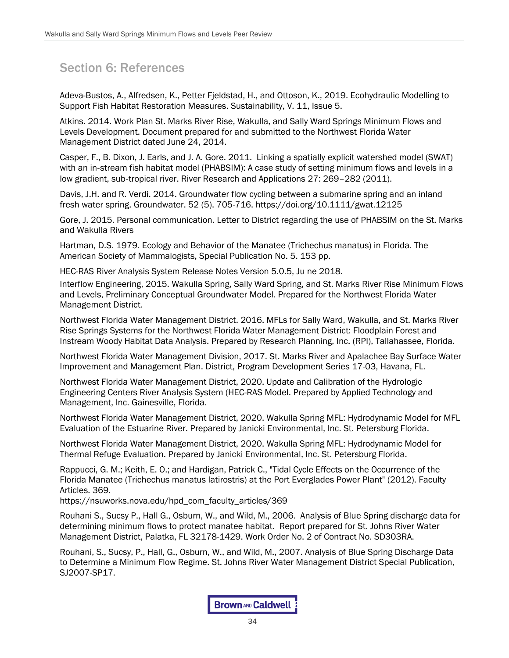### <span id="page-39-0"></span>Section 6: References

Adeva-Bustos, A., Alfredsen, K., Petter Fjeldstad, H., and Ottoson, K., 2019. Ecohydraulic Modelling to Support Fish Habitat Restoration Measures. Sustainability, V. 11, Issue 5.

Atkins. 2014. Work Plan St. Marks River Rise, Wakulla, and Sally Ward Springs Minimum Flows and Levels Development. Document prepared for and submitted to the Northwest Florida Water Management District dated June 24, 2014.

Casper, F., B. Dixon, J. Earls, and J. A. Gore. 2011. Linking a spatially explicit watershed model (SWAT) with an in-stream fish habitat model (PHABSIM): A case study of setting minimum flows and levels in a low gradient, sub-tropical river. River Research and Applications 27: 269-282 (2011).

Davis, J.H. and R. Verdi. 2014. Groundwater flow cycling between a submarine spring and an inland fresh water spring. Groundwater. 52 (5). 705-716. https://doi.org/10.1111/gwat.12125

Gore, J. 2015. Personal communication. Letter to District regarding the use of PHABSIM on the St. Marks and Wakulla Rivers

Hartman, D.S. 1979. Ecology and Behavior of the Manatee (Trichechus manatus) in Florida. The American Society of Mammalogists, Special Publication No. 5. 153 pp.

HEC-RAS River Analysis System Release Notes Version 5.0.5, Ju ne 2018.

Interflow Engineering, 2015. Wakulla Spring, Sally Ward Spring, and St. Marks River Rise Minimum Flows and Levels, Preliminary Conceptual Groundwater Model. Prepared for the Northwest Florida Water Management District.

Northwest Florida Water Management District. 2016. MFLs for Sally Ward, Wakulla, and St. Marks River Rise Springs Systems for the Northwest Florida Water Management District: Floodplain Forest and Instream Woody Habitat Data Analysis. Prepared by Research Planning, Inc. (RPI), Tallahassee, Florida.

Northwest Florida Water Management Division, 2017. St. Marks River and Apalachee Bay Surface Water Improvement and Management Plan. District, Program Development Series 17-03, Havana, FL.

Northwest Florida Water Management District, 2020. Update and Calibration of the Hydrologic Engineering Centers River Analysis System (HEC-RAS Model. Prepared by Applied Technology and Management, Inc. Gainesville, Florida.

Northwest Florida Water Management District, 2020. Wakulla Spring MFL: Hydrodynamic Model for MFL Evaluation of the Estuarine River. Prepared by Janicki Environmental, Inc. St. Petersburg Florida.

Northwest Florida Water Management District, 2020. Wakulla Spring MFL: Hydrodynamic Model for Thermal Refuge Evaluation. Prepared by Janicki Environmental, Inc. St. Petersburg Florida.

Rappucci, G. M.; Keith, E. O.; and Hardigan, Patrick C., "Tidal Cycle Effects on the Occurrence of the Florida Manatee (Trichechus manatus latirostris) at the Port Everglades Power Plant" (2012). Faculty Articles. 369.

https://nsuworks.nova.edu/hpd\_com\_faculty\_articles/369

Rouhani S., Sucsy P., Hall G., Osburn, W., and Wild, M., 2006. Analysis of Blue Spring discharge data for determining minimum flows to protect manatee habitat. Report prepared for St. Johns River Water Management District, Palatka, FL 32178-1429. Work Order No. 2 of Contract No. SD303RA.

Rouhani, S., Sucsy, P., Hall, G., Osburn, W., and Wild, M., 2007. Analysis of Blue Spring Discharge Data to Determine a Minimum Flow Regime. St. Johns River Water Management District Special Publication, SJ2007-SP17.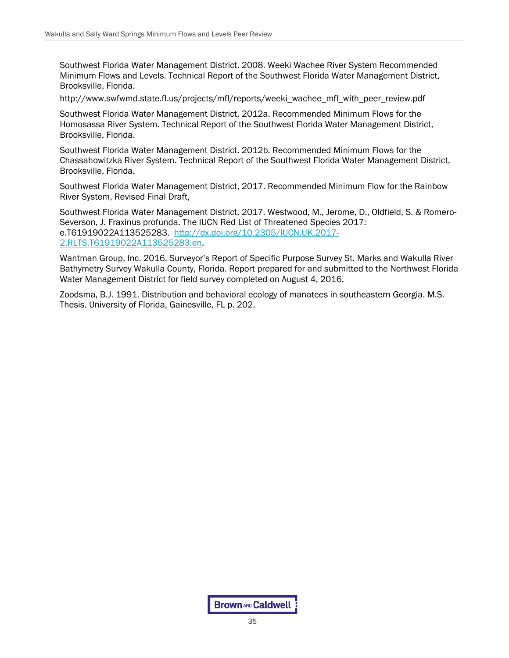Southwest Florida Water Management District. 2008. Weeki Wachee River System Recommended Minimum Flows and Levels. Technical Report of the Southwest Florida Water Management District, Brooksville, Florida.

http://www.swfwmd.state.fl.us/projects/mfl/reports/weeki\_wachee\_mfl\_with\_peer\_review.pdf

Southwest Florida Water Management District. 2012a. Recommended Minimum Flows for the Homosassa River System. Technical Report of the Southwest Florida Water Management District, Brooksville, Florida.

Southwest Florida Water Management District. 2012b. Recommended Minimum Flows for the Chassahowitzka River System. Technical Report of the Southwest Florida Water Management District, Brooksville, Florida.

Southwest Florida Water Management District, 2017. Recommended Minimum Flow for the Rainbow River System, Revised Final Draft,

Southwest Florida Water Management District, 2017. Westwood, M., Jerome, D., Oldfield, S. & Romero-Severson, J. Fraxinus profunda. The IUCN Red List of Threatened Species 2017: e.T61919022A113525283. [http://dx.doi.org/10.2305/IUCN.UK.2017-](http://dx.doi.org/10.2305/IUCN.UK.2017-2.RLTS.T61919022A113525283.en) [2.RLTS.T61919022A113525283.en.](http://dx.doi.org/10.2305/IUCN.UK.2017-2.RLTS.T61919022A113525283.en)

Wantman Group, Inc. 2016. Surveyor's Report of Specific Purpose Survey St. Marks and Wakulla River Bathymetry Survey Wakulla County, Florida. Report prepared for and submitted to the Northwest Florida Water Management District for field survey completed on August 4, 2016.

Zoodsma, B.J. 1991. Distribution and behavioral ecology of manatees in southeastern Georgia. M.S. Thesis. University of Florida, Gainesville, FL p. 202.

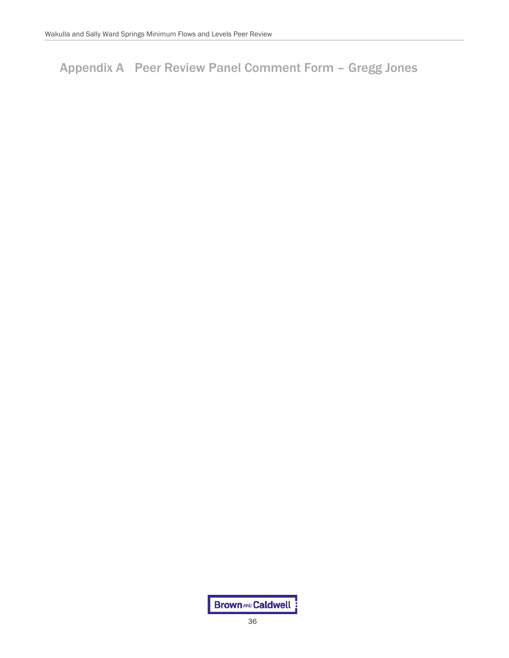## Appendix A Peer Review Panel Comment Form – Gregg Jones

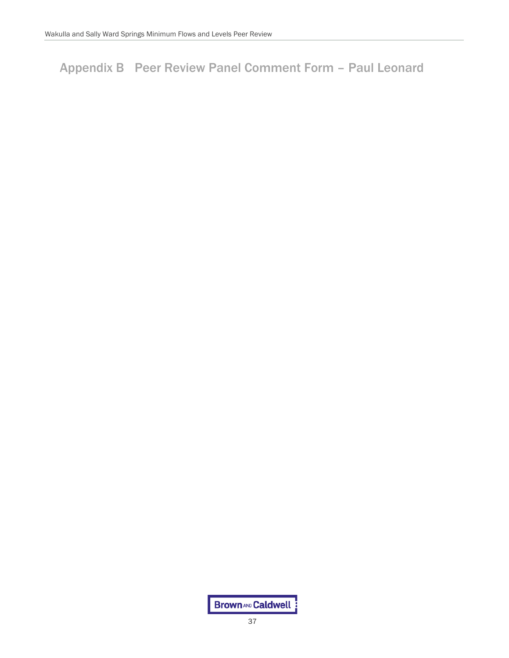## Appendix B Peer Review Panel Comment Form – Paul Leonard